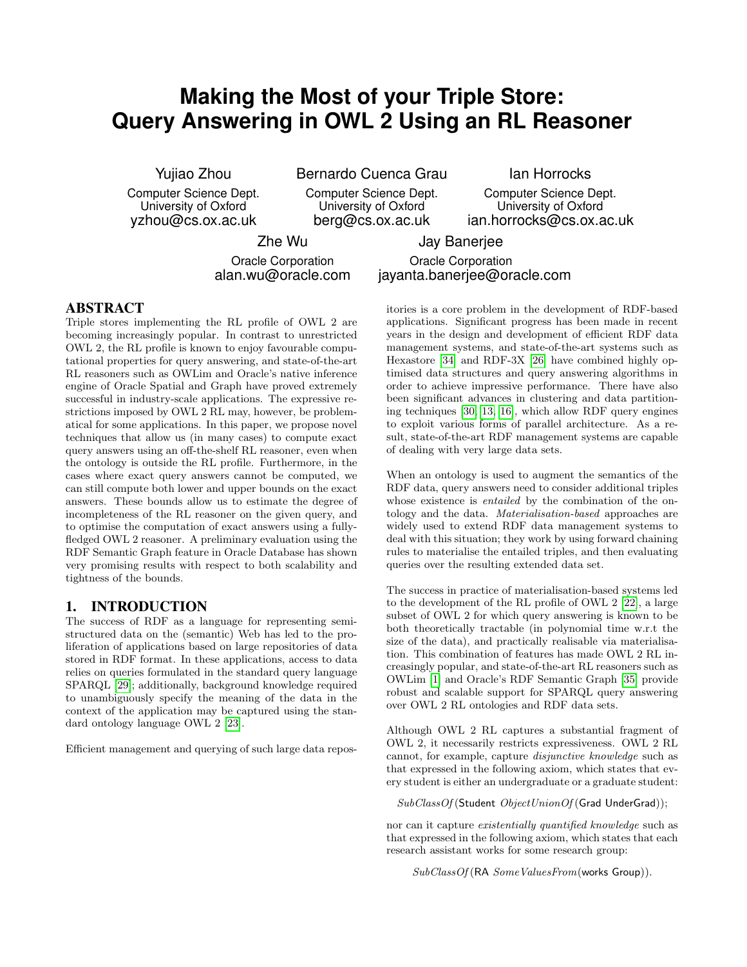# **Making the Most of your Triple Store: Query Answering in OWL 2 Using an RL Reasoner**

Yujiao Zhou

Computer Science Dept. University of Oxford yzhou@cs.ox.ac.uk

Bernardo Cuenca Grau

Computer Science Dept. University of Oxford berg@cs.ox.ac.uk

Ian Horrocks

Computer Science Dept. University of Oxford ian.horrocks@cs.ox.ac.uk

Zhe Wu

Jay Banerjee Oracle Corporation

Oracle Corporation alan.wu@oracle.com

## jayanta.banerjee@oracle.com

### ABSTRACT

Triple stores implementing the RL profile of OWL 2 are becoming increasingly popular. In contrast to unrestricted OWL 2, the RL profile is known to enjoy favourable computational properties for query answering, and state-of-the-art RL reasoners such as OWLim and Oracle's native inference engine of Oracle Spatial and Graph have proved extremely successful in industry-scale applications. The expressive restrictions imposed by OWL 2 RL may, however, be problematical for some applications. In this paper, we propose novel techniques that allow us (in many cases) to compute exact query answers using an off-the-shelf RL reasoner, even when the ontology is outside the RL profile. Furthermore, in the cases where exact query answers cannot be computed, we can still compute both lower and upper bounds on the exact answers. These bounds allow us to estimate the degree of incompleteness of the RL reasoner on the given query, and to optimise the computation of exact answers using a fullyfledged OWL 2 reasoner. A preliminary evaluation using the RDF Semantic Graph feature in Oracle Database has shown very promising results with respect to both scalability and tightness of the bounds.

## 1. INTRODUCTION

The success of RDF as a language for representing semistructured data on the (semantic) Web has led to the proliferation of applications based on large repositories of data stored in RDF format. In these applications, access to data relies on queries formulated in the standard query language SPARQL [\[29\]](#page-10-0); additionally, background knowledge required to unambiguously specify the meaning of the data in the context of the application may be captured using the standard ontology language OWL 2 [\[23\]](#page-10-1).

Efficient management and querying of such large data repos-

itories is a core problem in the development of RDF-based applications. Significant progress has been made in recent years in the design and development of efficient RDF data management systems, and state-of-the-art systems such as Hexastore [\[34\]](#page-10-2) and RDF-3X [\[26\]](#page-10-3) have combined highly optimised data structures and query answering algorithms in order to achieve impressive performance. There have also been significant advances in clustering and data partitioning techniques [\[30,](#page-10-4) [13,](#page-10-5) [16\]](#page-10-6), which allow RDF query engines to exploit various forms of parallel architecture. As a result, state-of-the-art RDF management systems are capable of dealing with very large data sets.

When an ontology is used to augment the semantics of the RDF data, query answers need to consider additional triples whose existence is *entailed* by the combination of the ontology and the data. Materialisation-based approaches are widely used to extend RDF data management systems to deal with this situation; they work by using forward chaining rules to materialise the entailed triples, and then evaluating queries over the resulting extended data set.

The success in practice of materialisation-based systems led to the development of the RL profile of OWL 2 [\[22\]](#page-10-7), a large subset of OWL 2 for which query answering is known to be both theoretically tractable (in polynomial time w.r.t the size of the data), and practically realisable via materialisation. This combination of features has made OWL 2 RL increasingly popular, and state-of-the-art RL reasoners such as OWLim [\[1\]](#page-10-8) and Oracle's RDF Semantic Graph [\[35\]](#page-10-9) provide robust and scalable support for SPARQL query answering over OWL 2 RL ontologies and RDF data sets.

Although OWL 2 RL captures a substantial fragment of OWL 2, it necessarily restricts expressiveness. OWL 2 RL cannot, for example, capture disjunctive knowledge such as that expressed in the following axiom, which states that every student is either an undergraduate or a graduate student:

 $SubClassOf({Student\;ObjectUnionOf({Grad\;UnderGrad})});$ 

nor can it capture existentially quantified knowledge such as that expressed in the following axiom, which states that each research assistant works for some research group:

 $SubClassOf(RA Some ValuesFrom(works Group)).$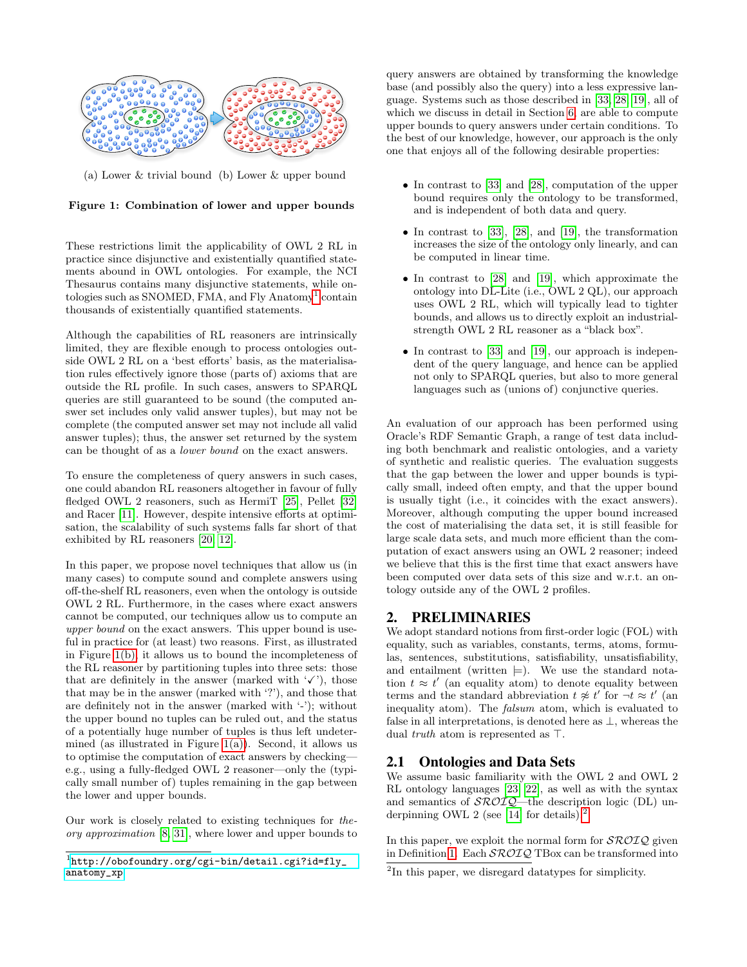<span id="page-1-2"></span>

<span id="page-1-1"></span>(a) Lower & trivial bound (b) Lower & upper bound

Figure 1: Combination of lower and upper bounds

These restrictions limit the applicability of OWL 2 RL in practice since disjunctive and existentially quantified statements abound in OWL ontologies. For example, the NCI Thesaurus contains many disjunctive statements, while on-tologies such as SNOMED, FMA, and Fly Anatomy<sup>[1](#page-1-0)</sup> contain thousands of existentially quantified statements.

Although the capabilities of RL reasoners are intrinsically limited, they are flexible enough to process ontologies outside OWL 2 RL on a 'best efforts' basis, as the materialisation rules effectively ignore those (parts of) axioms that are outside the RL profile. In such cases, answers to SPARQL queries are still guaranteed to be sound (the computed answer set includes only valid answer tuples), but may not be complete (the computed answer set may not include all valid answer tuples); thus, the answer set returned by the system can be thought of as a lower bound on the exact answers.

To ensure the completeness of query answers in such cases, one could abandon RL reasoners altogether in favour of fully fledged OWL 2 reasoners, such as HermiT [\[25\]](#page-10-10), Pellet [\[32\]](#page-10-11) and Racer [\[11\]](#page-10-12). However, despite intensive efforts at optimisation, the scalability of such systems falls far short of that exhibited by RL reasoners [\[20,](#page-10-13) [12\]](#page-10-14).

In this paper, we propose novel techniques that allow us (in many cases) to compute sound and complete answers using off-the-shelf RL reasoners, even when the ontology is outside OWL 2 RL. Furthermore, in the cases where exact answers cannot be computed, our techniques allow us to compute an upper bound on the exact answers. This upper bound is useful in practice for (at least) two reasons. First, as illustrated in Figure [1\(b\),](#page-1-1) it allows us to bound the incompleteness of the RL reasoner by partitioning tuples into three sets: those that are definitely in the answer (marked with  $\checkmark$ ), those that may be in the answer (marked with '?'), and those that are definitely not in the answer (marked with '-'); without the upper bound no tuples can be ruled out, and the status of a potentially huge number of tuples is thus left undetermined (as illustrated in Figure  $1(a)$ ). Second, it allows us to optimise the computation of exact answers by checking e.g., using a fully-fledged OWL 2 reasoner—only the (typically small number of) tuples remaining in the gap between the lower and upper bounds.

Our work is closely related to existing techniques for theory approximation [\[8,](#page-10-15) [31\]](#page-10-16), where lower and upper bounds to

query answers are obtained by transforming the knowledge base (and possibly also the query) into a less expressive language. Systems such as those described in [\[33,](#page-10-17) [28,](#page-10-18) [19\]](#page-10-19), all of which we discuss in detail in Section [6,](#page-8-0) are able to compute upper bounds to query answers under certain conditions. To the best of our knowledge, however, our approach is the only one that enjoys all of the following desirable properties:

- In contrast to [\[33\]](#page-10-17) and [\[28\]](#page-10-18), computation of the upper bound requires only the ontology to be transformed, and is independent of both data and query.
- In contrast to  $[33]$ ,  $[28]$ , and  $[19]$ , the transformation increases the size of the ontology only linearly, and can be computed in linear time.
- In contrast to [\[28\]](#page-10-18) and [\[19\]](#page-10-19), which approximate the ontology into DL-Lite (i.e., OWL 2 QL), our approach uses OWL 2 RL, which will typically lead to tighter bounds, and allows us to directly exploit an industrialstrength OWL 2 RL reasoner as a "black box".
- In contrast to [\[33\]](#page-10-17) and [\[19\]](#page-10-19), our approach is independent of the query language, and hence can be applied not only to SPARQL queries, but also to more general languages such as (unions of) conjunctive queries.

An evaluation of our approach has been performed using Oracle's RDF Semantic Graph, a range of test data including both benchmark and realistic ontologies, and a variety of synthetic and realistic queries. The evaluation suggests that the gap between the lower and upper bounds is typically small, indeed often empty, and that the upper bound is usually tight (i.e., it coincides with the exact answers). Moreover, although computing the upper bound increased the cost of materialising the data set, it is still feasible for large scale data sets, and much more efficient than the computation of exact answers using an OWL 2 reasoner; indeed we believe that this is the first time that exact answers have been computed over data sets of this size and w.r.t. an ontology outside any of the OWL 2 profiles.

## 2. PRELIMINARIES

We adopt standard notions from first-order logic (FOL) with equality, such as variables, constants, terms, atoms, formulas, sentences, substitutions, satisfiability, unsatisfiability, and entailment (written  $\models$ ). We use the standard notation  $t \approx t'$  (an equality atom) to denote equality between terms and the standard abbreviation  $t \not\approx t'$  for  $-t \approx t'$  (and inequality atom). The falsum atom, which is evaluated to false in all interpretations, is denoted here as  $\perp$ , whereas the dual *truth* atom is represented as  $\top$ .

## 2.1 Ontologies and Data Sets

We assume basic familiarity with the OWL 2 and OWL 2 RL ontology languages [\[23,](#page-10-1) [22\]](#page-10-7), as well as with the syntax and semantics of  $\mathcal{SROIQ}$ —the description logic (DL) un-derpinning OWL 2 (see [\[14\]](#page-10-20) for details).<sup>[2](#page-1-3)</sup>

In this paper, we exploit the normal form for  $\mathcal{SROLQ}$  given in Definition [1.](#page-2-0) Each  $\mathcal{SROIQ}$  TBox can be transformed into

<span id="page-1-0"></span><sup>1</sup> [http://obofoundry.org/cgi-bin/detail.cgi?id=fly\\_](http://obofoundry.org/cgi-bin/detail.cgi?id=fly_anatomy_xp) [anatomy\\_xp](http://obofoundry.org/cgi-bin/detail.cgi?id=fly_anatomy_xp)

<span id="page-1-3"></span><sup>&</sup>lt;sup>2</sup>In this paper, we disregard datatypes for simplicity.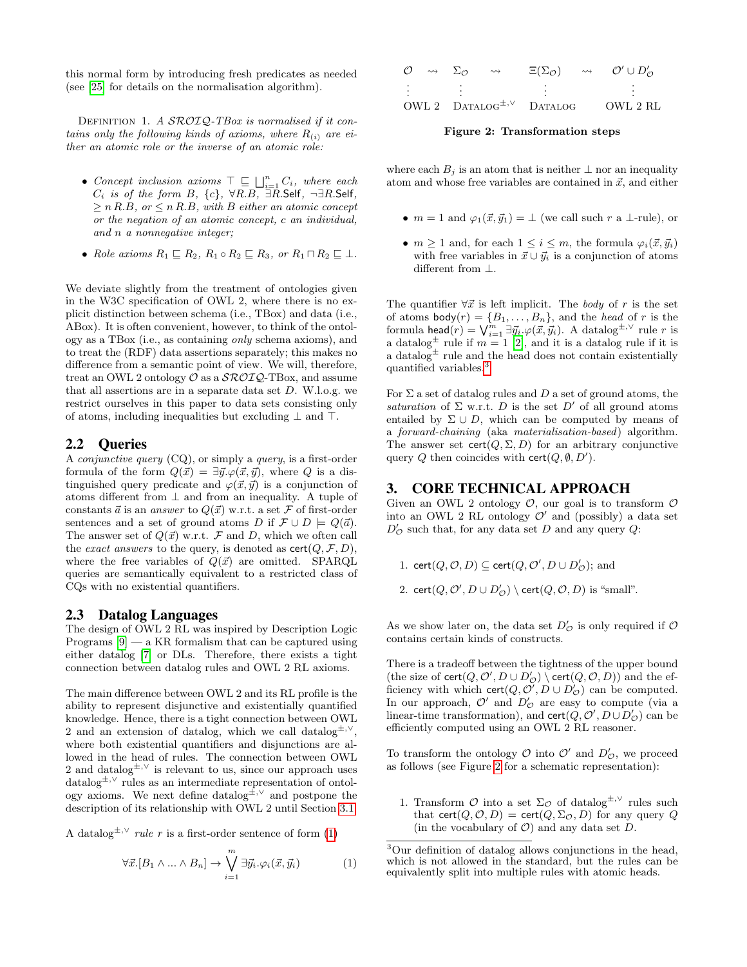this normal form by introducing fresh predicates as needed (see [\[25\]](#page-10-10) for details on the normalisation algorithm).

DEFINITION 1. A SROIQ-TBox is normalised if it contains only the following kinds of axioms, where  $R_{(i)}$  are either an atomic role or the inverse of an atomic role:

- Concept inclusion axioms  $\top \sqsubseteq \bigsqcup_{i=1}^n C_i$ , where each  $C_i$  is of the form B,  $\{c\}$ ,  $\forall R.B$ ,  $\exists R.S$ elf,  $\neg \exists R.S$ elf,  $\geq n R.B$ , or  $\leq n R.B$ , with B either an atomic concept or the negation of an atomic concept, c an individual, and n a nonnegative integer;
- Role axioms  $R_1 \sqsubseteq R_2$ ,  $R_1 \circ R_2 \sqsubseteq R_3$ , or  $R_1 \sqcap R_2 \sqsubseteq \bot$ .

We deviate slightly from the treatment of ontologies given in the W3C specification of OWL 2, where there is no explicit distinction between schema (i.e., TBox) and data (i.e., ABox). It is often convenient, however, to think of the ontology as a TBox (i.e., as containing only schema axioms), and to treat the (RDF) data assertions separately; this makes no difference from a semantic point of view. We will, therefore, treat an OWL 2 ontology  $\mathcal O$  as a  $\mathcal{SROIQ}\text{-}\mathrm{TBox}$ , and assume that all assertions are in a separate data set  $D$ . W.l.o.g. we restrict ourselves in this paper to data sets consisting only of atoms, including inequalities but excluding  $\perp$  and  $\perp$ .

### 2.2 Queries

A conjunctive query (CQ), or simply a query, is a first-order formula of the form  $Q(\vec{x}) = \exists \vec{y}.\varphi(\vec{x}, \vec{y})$ , where Q is a distinguished query predicate and  $\varphi(\vec{x}, \vec{y})$  is a conjunction of atoms different from  $\perp$  and from an inequality. A tuple of constants  $\vec{a}$  is an answer to  $Q(\vec{x})$  w.r.t. a set F of first-order sentences and a set of ground atoms D if  $\mathcal{F} \cup D \models Q(\vec{a})$ . The answer set of  $Q(\vec{x})$  w.r.t.  $\vec{\mathcal{F}}$  and  $D$ , which we often call the *exact answers* to the query, is denoted as  $\text{cert}(Q, \mathcal{F}, D)$ , where the free variables of  $Q(\vec{x})$  are omitted. SPARQL queries are semantically equivalent to a restricted class of CQs with no existential quantifiers.

#### 2.3 Datalog Languages

The design of OWL 2 RL was inspired by Description Logic Programs  $[9]$  — a KR formalism that can be captured using either datalog [\[7\]](#page-10-22) or DLs. Therefore, there exists a tight connection between datalog rules and OWL 2 RL axioms.

The main difference between OWL 2 and its RL profile is the ability to represent disjunctive and existentially quantified knowledge. Hence, there is a tight connection between OWL 2 and an extension of datalog, which we call datalog<sup> $±,$ </sup><sup> $\vee$ </sup>, where both existential quantifiers and disjunctions are allowed in the head of rules. The connection between OWL 2 and datalog<sup> $\pm, \vee$ </sup> is relevant to us, since our approach uses datalog<sup> $\pm, \vee$ </sup> rules as an intermediate representation of ontology axioms. We next define datalog<sup> $\pm, \vee$ </sup> and postpone the description of its relationship with OWL 2 until Section [3.1.](#page-3-0)

A datalog<sup> $\pm$ ,∨</sup> *rule r* is a first-order sentence of form [\(1\)](#page-2-1)

<span id="page-2-1"></span>
$$
\forall \vec{x}. [B_1 \land \dots \land B_n] \to \bigvee_{i=1}^m \exists \vec{y}_i. \varphi_i(\vec{x}, \vec{y}_i) \tag{1}
$$

<span id="page-2-0"></span>

| $\mathcal{O}$ | $\rightsquigarrow \quad \Sigma_{\Omega}$ | $\rightsquigarrow$ | $\Xi(\Sigma_{\mathcal{O}})$        | $\rightsquigarrow$ | $\mathcal{O}' \cup D'_{\mathcal{O}}$ |
|---------------|------------------------------------------|--------------------|------------------------------------|--------------------|--------------------------------------|
|               |                                          |                    |                                    |                    |                                      |
|               |                                          |                    |                                    |                    |                                      |
|               |                                          |                    |                                    |                    |                                      |
|               |                                          |                    | OWL 2 $DATALOG^{\pm,\vee}$ DATALOG |                    | OWL 2 RL                             |

<span id="page-2-3"></span>Figure 2: Transformation steps

where each  $B_i$  is an atom that is neither  $\perp$  nor an inequality atom and whose free variables are contained in  $\vec{x}$ , and either

- $m = 1$  and  $\varphi_1(\vec{x}, \vec{y}_1) = \perp$  (we call such r a  $\perp$ -rule), or
- $m \geq 1$  and, for each  $1 \leq i \leq m$ , the formula  $\varphi_i(\vec{x}, \vec{y}_i)$ with free variables in  $\vec{x} \cup \vec{y}_i$  is a conjunction of atoms different from ⊥.

The quantifier  $\forall \vec{x}$  is left implicit. The body of r is the set of atoms  $\text{body}(r) = \{B_1, \ldots, B_n\}$ , and the *head* of r is the formula head $(r) = \bigvee_{i=1}^{m} \exists \vec{y_i} . \varphi(\vec{x}, \vec{y_i}).$  A datalog<sup>±,∨</sup> rule r is a datalog<sup> $\pm$ </sup> rule if  $m = 1$  [\[2\]](#page-10-23), and it is a datalog rule if it is a datalog<sup> $\pm$ </sup> rule and the head does not contain existentially quantified variables.[3](#page-2-2)

For  $\Sigma$  a set of datalog rules and D a set of ground atoms, the saturation of  $\Sigma$  w.r.t. D is the set D' of all ground atoms entailed by  $\Sigma \cup D$ , which can be computed by means of a forward-chaining (aka materialisation-based) algorithm. The answer set  $\text{cert}(Q, \Sigma, D)$  for an arbitrary conjunctive query Q then coincides with  $\text{cert}(Q, \emptyset, D')$ .

#### 3. CORE TECHNICAL APPROACH

Given an OWL 2 ontology  $\mathcal{O}$ , our goal is to transform  $\mathcal O$ into an OWL 2 RL ontology  $\mathcal{O}'$  and (possibly) a data set  $D'_{\mathcal{O}}$  such that, for any data set D and any query Q:

1. cert $(Q, \mathcal{O}, D) \subseteq \text{cert}(Q, \mathcal{O}', D \cup D'_{\mathcal{O}});$  and 2. cert $(Q, \mathcal{O}', D \cup D'_{\mathcal{O}}) \setminus \text{cert}(Q, \mathcal{O}, D)$  is "small".

As we show later on, the data set  $D'_{\mathcal{O}}$  is only required if  $\mathcal O$ contains certain kinds of constructs.

There is a tradeoff between the tightness of the upper bound (the size of  $\text{cert}(Q, O', D \cup D'_O) \setminus \text{cert}(Q, O, D))$  and the efficiency with which  $\text{cert}(Q, O', D \cup D'_{\mathcal{O}})$  can be computed. In our approach,  $\mathcal{O}'$  and  $D'_{\mathcal{O}}$  are easy to compute (via a linear-time transformation), and  $\textsf{cert}(Q, \mathcal{O}', D \cup D'_{\mathcal{O}})$  can be efficiently computed using an OWL 2 RL reasoner.

To transform the ontology  $\mathcal O$  into  $\mathcal O'$  and  $D'_{\mathcal O}$ , we proceed as follows (see Figure [2](#page-2-3) for a schematic representation):

1. Transform  $\mathcal O$  into a set  $\Sigma_{\mathcal O}$  of datalog<sup> $\pm, \vee$ </sup> rules such that cert( $Q, \mathcal{O}, D$ ) = cert( $Q, \Sigma_{\mathcal{O}}, D$ ) for any query  $Q$ (in the vocabulary of  $\mathcal{O}$ ) and any data set D.

<span id="page-2-2"></span><sup>3</sup>Our definition of datalog allows conjunctions in the head, which is not allowed in the standard, but the rules can be equivalently split into multiple rules with atomic heads.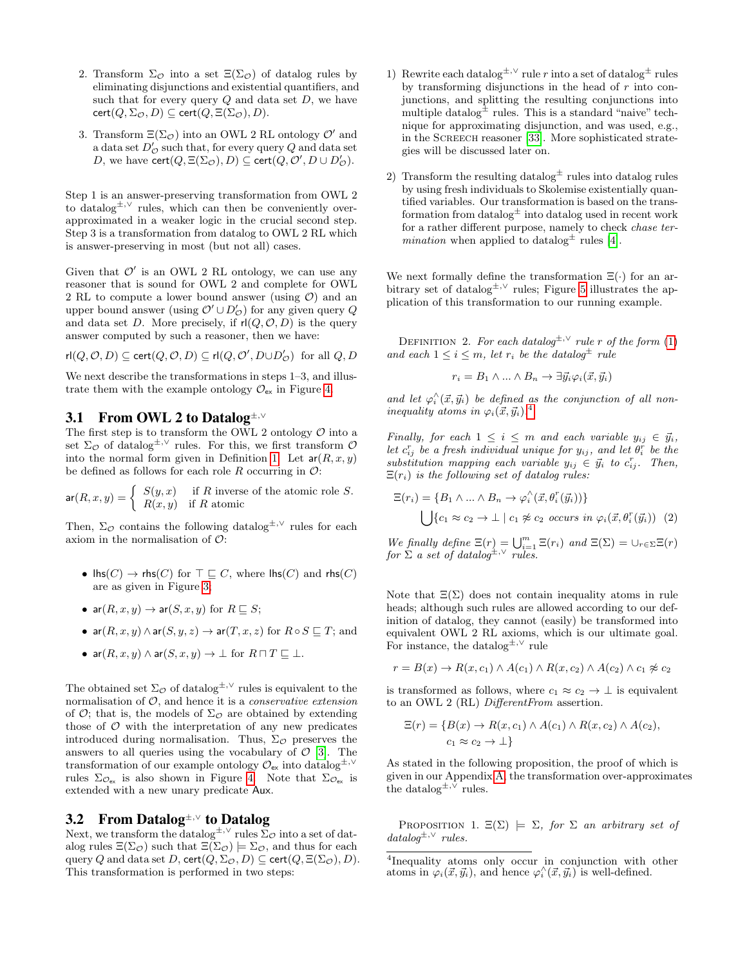- 2. Transform  $\Sigma_{\mathcal{O}}$  into a set  $\Xi(\Sigma_{\mathcal{O}})$  of datalog rules by eliminating disjunctions and existential quantifiers, and such that for every query  $Q$  and data set  $D$ , we have  $cert(Q, \Sigma_{\mathcal{O}}, D) \subseteq cert(Q, \Xi(\Sigma_{\mathcal{O}}), D).$
- 3. Transform  $\Xi(\Sigma_{\mathcal{O}})$  into an OWL 2 RL ontology  $\mathcal{O}'$  and a data set  $D'_\mathcal{O}$  such that, for every query  $Q$  and data set D, we have  $\text{cert}(Q, \Xi(\Sigma_{\mathcal{O}}), D) \subseteq \text{cert}(Q, \mathcal{O}', D \cup D'_{\mathcal{O}}).$

Step 1 is an answer-preserving transformation from OWL 2 to datalog<sup>±</sup>,<sup>∨</sup> rules, which can then be conveniently overapproximated in a weaker logic in the crucial second step. Step 3 is a transformation from datalog to OWL 2 RL which is answer-preserving in most (but not all) cases.

Given that  $\mathcal{O}'$  is an OWL 2 RL ontology, we can use any reasoner that is sound for OWL 2 and complete for OWL 2 RL to compute a lower bound answer (using  $\mathcal{O}$ ) and an upper bound answer (using  $\mathcal{O}' \cup D'_{\mathcal{O}}$ ) for any given query  $Q$ and data set D. More precisely, if  $r|(Q, O, D)$  is the query answer computed by such a reasoner, then we have:

$$
\mathrm{rl}(Q,\mathcal{O},D)\subseteq\mathrm{cert}(Q,\mathcal{O},D)\subseteq\mathrm{rl}(Q,\mathcal{O}',D\cup D'_\mathcal{O})\ \ \text{for all}\ Q,D
$$

We next describe the transformations in steps  $1-3$ , and illustrate them with the example ontology  $\mathcal{O}_{\mathsf{ex}}$  in Figure [4.](#page-4-0)

#### <span id="page-3-0"></span>3.1 From OWL 2 to Datalog<sup>±</sup>,<sup>∨</sup>

The first step is to transform the OWL 2 ontology  $\mathcal O$  into a set  $\Sigma_{\mathcal{O}}$  of datalog<sup> $\pm$ , $\vee$ </sup> rules. For this, we first transform  $\mathcal{O}$ into the normal form given in Definition [1.](#page-2-0) Let  $ar(R, x, y)$ be defined as follows for each role R occurring in  $\mathcal{O}$ :

$$
\mathsf{ar}(R, x, y) = \begin{cases} S(y, x) & \text{if } R \text{ inverse of the atomic role } S. \\ R(x, y) & \text{if } R \text{ atomic} \end{cases}
$$

Then,  $\Sigma_{\mathcal{O}}$  contains the following datalog<sup> $\pm$ ,∨</sup> rules for each axiom in the normalisation of  $\mathcal{O}$ :

- $\textsf{Ins}(C) \to \textsf{rhs}(C)$  for  $\top \sqsubseteq C$ , where  $\textsf{Ins}(C)$  and  $\textsf{rhs}(C)$ are as given in Figure [3;](#page-4-1)
- ar $(R, x, y) \rightarrow$  ar $(S, x, y)$  for  $R \sqsubseteq S$ ;
- ar $(R, x, y) \land$ ar $(S, y, z) \rightarrow$ ar $(T, x, z)$  for  $R \circ S \sqsubseteq T$ ; and

• 
$$
\operatorname{ar}(R, x, y) \land \operatorname{ar}(S, x, y) \to \bot
$$
 for  $R \sqcap T \sqsubseteq \bot$ .

The obtained set  $\Sigma_{\mathcal{O}}$  of datalog<sup>±,∨</sup> rules is equivalent to the normalisation of  $O$ , and hence it is a *conservative extension* of  $\mathcal{O}$ ; that is, the models of  $\Sigma_{\mathcal{O}}$  are obtained by extending those of  $\mathcal O$  with the interpretation of any new predicates introduced during normalisation. Thus,  $\Sigma_{\mathcal{O}}$  preserves the answers to all queries using the vocabulary of  $\mathcal{O}$  [\[3\]](#page-10-24). The transformation of our example ontology  $\mathcal{O}_{\mathsf{ex}}$  into datalog<sup>±,∨</sup> rules  $\Sigma_{\mathcal{O}_{ex}}$  is also shown in Figure [4.](#page-4-0) Note that  $\Sigma_{\mathcal{O}_{ex}}$  is extended with a new unary predicate Aux.

## <span id="page-3-4"></span>3.2 From Datalog<sup>±</sup>,<sup>∨</sup> to Datalog

Next, we transform the datalog<sup>±,∨</sup> rules  $\bar{\Sigma}_{\mathcal{O}}$  into a set of datalog rules  $\Xi(\Sigma_{\mathcal{O}})$  such that  $\Xi(\Sigma_{\mathcal{O}}) \models \Sigma_{\mathcal{O}}$ , and thus for each query Q and data set  $D$ , cert $(Q, \Sigma_{\mathcal{O}}, D) \subseteq$  cert $(Q, \Xi(\Sigma_{\mathcal{O}}), D)$ . This transformation is performed in two steps:

- 1) Rewrite each datalog<sup> $\pm$ ,∨</sup> rule r into a set of datalog<sup> $\pm$ </sup> rules by transforming disjunctions in the head of  $r$  into conjunctions, and splitting the resulting conjunctions into multiple datalog $\pm$  rules. This is a standard "naive" technique for approximating disjunction, and was used, e.g., in the Screech reasoner [\[33\]](#page-10-17). More sophisticated strategies will be discussed later on.
- 2) Transform the resulting datalog $\pm$  rules into datalog rules by using fresh individuals to Skolemise existentially quantified variables. Our transformation is based on the transformation from datalog $\pm$  into datalog used in recent work for a rather different purpose, namely to check chase ter*mination* when applied to datalog<sup> $\pm$ </sup> rules [\[4\]](#page-10-25).

We next formally define the transformation  $\Xi(\cdot)$  for an arbitrary set of datalog<sup> $\pm$ ,∨</sup> rules; Figure [5](#page-5-0) illustrates the application of this transformation to our running example.

<span id="page-3-3"></span>DEFINITION 2. For each datalog<sup> $\pm, \vee$ </sup> rule r of the form [\(1\)](#page-2-1) and each  $1 \leq i \leq m$ , let  $r_i$  be the datalog<sup>+</sup> rule

$$
r_i = B_1 \wedge \ldots \wedge B_n \to \exists \vec{y}_i \varphi_i(\vec{x}, \vec{y}_i)
$$

and let  $\varphi_i^{\wedge}(\vec{x}, \vec{y}_i)$  be defined as the conjunction of all noninequality atoms in  $\varphi_i(\vec{x}, \vec{y}_i)$ .<sup>[4](#page-3-1)</sup>

Finally, for each  $1 \leq i \leq m$  and each variable  $y_{ij} \in \vec{y}_i$ , let  $c_{ij}^r$  be a fresh individual unique for  $y_{ij}$ , and let  $\theta_i^r$  be the substitution mapping each variable  $y_{ij} \in \vec{y}_i$  to  $c_{ij}^r$ . Then,  $\Xi(r_i)$  is the following set of datalog rules:

$$
\Xi(r_i) = \{B_1 \wedge \ldots \wedge B_n \to \varphi_i^{\wedge}(\vec{x}, \theta_i^r(\vec{y}_i))\}
$$
  

$$
\bigcup \{c_1 \approx c_2 \to \bot \mid c_1 \not\approx c_2 \text{ occurs in } \varphi_i(\vec{x}, \theta_i^r(\vec{y}_i)) \quad (2)
$$

We finally define  $\Xi(r) = \bigcup_{i=1}^m \Xi(r_i)$  and  $\Xi(\Sigma) = \bigcup_{r \in \Sigma} \Xi(r)$ for  $\Sigma$  a set of datalog<sup> $\pm, \vee$ </sup> rules.

Note that  $\Xi(\Sigma)$  does not contain inequality atoms in rule heads; although such rules are allowed according to our definition of datalog, they cannot (easily) be transformed into equivalent OWL 2 RL axioms, which is our ultimate goal. For instance, the datalog<sup> $\pm, \vee$ </sup> rule

$$
r = B(x) \rightarrow R(x, c_1) \land A(c_1) \land R(x, c_2) \land A(c_2) \land c_1 \not\approx c_2
$$

is transformed as follows, where  $c_1 \approx c_2 \to \perp$  is equivalent to an OWL 2 (RL) DifferentFrom assertion.

<span id="page-3-2"></span>
$$
\Xi(r) = \{B(x) \to R(x, c_1) \land A(c_1) \land R(x, c_2) \land A(c_2),
$$
  

$$
c_1 \approx c_2 \to \bot\}
$$

As stated in the following proposition, the proof of which is given in our Appendix [A,](#page-11-0) the transformation over-approximates the datalog<sup> $\pm, \vee$ </sup> rules.

PROPOSITION 1.  $\Xi(\Sigma) \models \Sigma$ , for  $\Sigma$  an arbitrary set of  $datalog^{\pm, \vee}$  rules.

<span id="page-3-1"></span><sup>4</sup> Inequality atoms only occur in conjunction with other atoms in  $\varphi_i(\vec{x}, \vec{y}_i)$ , and hence  $\varphi_i^{\wedge}(\vec{x}, \vec{y}_i)$  is well-defined.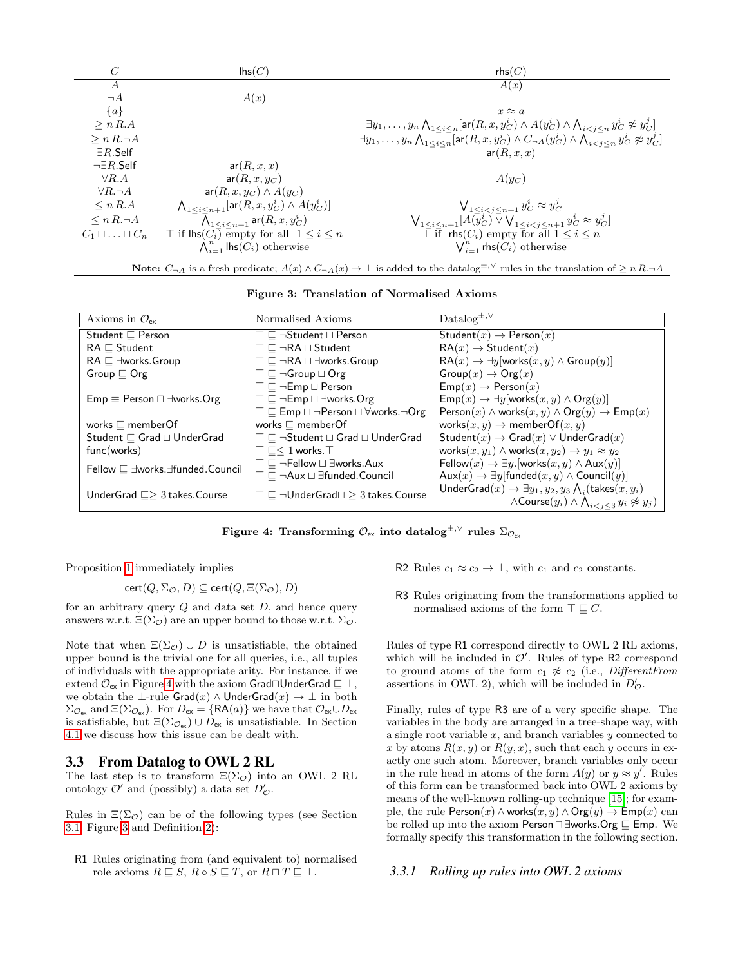| C                              | $\mathsf{Ins}(C)$                                                          | rbs(C)                                                                                                                                                                |
|--------------------------------|----------------------------------------------------------------------------|-----------------------------------------------------------------------------------------------------------------------------------------------------------------------|
| $\boldsymbol{A}$               |                                                                            | A(x)                                                                                                                                                                  |
| $\neg A$                       | A(x)                                                                       |                                                                                                                                                                       |
| ${a}$                          |                                                                            | $x \approx a$                                                                                                                                                         |
| > n R.A                        |                                                                            | $\exists y_1,\ldots,y_n\bigwedge_{1\leq i\leq n}[\textsf{ar}(R,x,y_C^i)\wedge A(y_C^i)\wedge \bigwedge_{i\leq j\leq n}y_C^i\not\approx y_C^j]$                        |
| $\geq n R. \neg A$             |                                                                            | $\exists y_1, \ldots, y_n \bigwedge_{1 \leq i \leq n} [\textsf{ar}(R, x, y_C^i) \wedge C_{\neg A}(y_C^i) \wedge \bigwedge_{i \leq i \leq n} y_C^i \not\approx y_C^j]$ |
| $\exists R$ .Self              |                                                                            | ar(R, x, x)                                                                                                                                                           |
| $\neg \exists R.\mathsf{Self}$ | ar(R, x, x)                                                                |                                                                                                                                                                       |
| $\forall R.A$                  | $ar(R, x, y_C)$                                                            | $A(y_C)$                                                                                                                                                              |
| $\forall R.\neg A$             | $ar(R, x, y_C) \wedge A(y_C)$                                              |                                                                                                                                                                       |
| $\leq n R.A$                   | $\bigwedge_{1 \leq i \leq n+1} [\textsf{ar}(R, x, y_C^i) \wedge A(y_C^i)]$ | $V_{1\leq i < j \leq n+1} y_C^i \approx y_C^j$                                                                                                                        |
| $\leq n R. \neg A$             | $\bigwedge_{1 \leq i \leq n+1}$ ar $(R, x, y_C^i)$                         | $\bigvee_{1 \leq i \leq n+1} [A(y_C^i) \vee \bigvee_{1 \leq i \leq j \leq n+1} y_C^i \approx y_C^j]$                                                                  |
| $C_1 \sqcup \ldots \sqcup C_n$ | $\top$ if $\textsf{Ins}(C_i)$ empty for all $1 \leq i \leq n$              | $\overline{\perp}$ if rhs( $C_i$ ) empty for all $1 \leq i \leq n$                                                                                                    |
|                                | $\bigwedge_{i=1}^n$ lhs $(C_i)$ otherwise                                  | $\bigvee_{i=1}^{n}$ rhs $(C_i)$ otherwise                                                                                                                             |
|                                |                                                                            |                                                                                                                                                                       |

Note:  $C_{\neg A}$  is a fresh predicate;  $A(x) \wedge C_{\neg A}(x) \to \bot$  is added to the datalog<sup>±,∨</sup> rules in the translation of  $\geq n R.\neg A$ 

<span id="page-4-1"></span>Figure 3: Translation of Normalised Axioms

| Axioms in $\mathcal{O}_{\mathsf{ex}}$        | Normalised Axioms                                                                    | $\text{Datalog}^{\pm,\vee}$                                                                                                                                        |
|----------------------------------------------|--------------------------------------------------------------------------------------|--------------------------------------------------------------------------------------------------------------------------------------------------------------------|
| Student $\sqsubset$ Person                   | $\top \sqsubset \neg$ Student $\sqcup$ Person                                        | Student $(x) \rightarrow$ Person $(x)$                                                                                                                             |
| $RA \sqsubset$ Student                       | $\top \sqsubset \neg R A \sqcup$ Student                                             | $RA(x) \rightarrow Student(x)$                                                                                                                                     |
| $RA \sqsubset \exists$ works.Group           | $\top \sqsubset \neg RA \sqcup \exists \text{works}.\text{Group}$                    | $RA(x) \rightarrow \exists y$ [works $(x, y) \land Group(y)$ ]                                                                                                     |
| Group $\sqsubset$ Org                        | $\top \sqsubseteq \neg$ Group $\sqcup$ Org                                           | $Group(x)\rightarrow{Org(x)}$                                                                                                                                      |
|                                              | $\top \sqsubset \neg \mathsf{Emp} \sqcup \mathsf{Person}$                            | $\mathsf{Emp}(x) \to \mathsf{Person}(x)$                                                                                                                           |
| $Emp \equiv Person \sqcap \exists works.Org$ | $\top \sqsubseteq \neg \mathsf{Emp} \sqcup \exists \mathsf{works}.\mathsf{Org}$      | $\mathsf{Emp}(x) \to \exists y$ [works $(x, y) \land \mathsf{Org}(y)$ ]                                                                                            |
|                                              | $\top \sqsubset$ Emp $\sqcup \neg$ Person $\sqcup \forall$ works. $\neg$ Org         | Person $(x) \wedge$ works $(x, y) \wedge$ Org $(y) \rightarrow$ Emp $(x)$                                                                                          |
| works $\sqsubset$ member Of                  | works $\sqsubset$ member Of                                                          | works $(x, y) \rightarrow$ memberOf $(x, y)$                                                                                                                       |
| Student $\sqsubset$ Grad $\sqcup$ UnderGrad  | $\top \sqsubset \neg$ Student $\sqcup$ Grad $\sqcup$ UnderGrad                       | Student $(x) \rightarrow$ Grad $(x) \vee$ UnderGrad $(x)$                                                                                                          |
| func(words)                                  | $T \sqsubset < 1$ works. T                                                           | works $(x, y_1) \wedge$ works $(x, y_2) \rightarrow y_1 \approx y_2$                                                                                               |
| Fellow □ ∃works. Efunded. Council            | $\top \sqsubset \neg$ Fellow $\sqcup \exists$ works.Aux                              | Fellow $(x) \rightarrow \exists y$ . [works $(x, y) \wedge \text{Aux}(y)$ ]                                                                                        |
|                                              | $\top \sqsubset \neg \mathsf{Aux} \sqcup \exists \mathsf{fundred}.\mathsf{Count}$ il | $Aux(x) \rightarrow \exists y$ [funded $(x, y) \wedge$ Council $(y)$ ]                                                                                             |
| UnderGrad $\Box$ 3 takes. Course             | $\top \sqsubseteq \neg$ UnderGrad $\sqcup \geq 3$ takes. Course                      | UnderGrad $(x) \rightarrow \exists y_1, y_2, y_3 \bigwedge_i (\text{takes}(x, y_i))$<br>$\wedge$ Course $(y_i) \wedge \bigwedge_{i < j < 3} y_i \not\approx y_j$ ) |

<span id="page-4-0"></span>Figure 4: Transforming  $\mathcal{O}_{\rm ex}$  into datalog $^{\pm,\vee}$  rules  $\Sigma_{\mathcal{O}_{\rm ex}}$ 

Proposition [1](#page-3-2) immediately implies

$$
cert(Q, \Sigma_{\mathcal{O}}, D) \subseteq cert(Q, \Xi(\Sigma_{\mathcal{O}}), D)
$$

for an arbitrary query  $Q$  and data set  $D$ , and hence query answers w.r.t.  $\Xi(\Sigma_{\mathcal{O}})$  are an upper bound to those w.r.t.  $\Sigma_{\mathcal{O}}$ .

Note that when  $\Xi(\Sigma_{\mathcal{O}}) \cup D$  is unsatisfiable, the obtained upper bound is the trivial one for all queries, i.e., all tuples of individuals with the appropriate arity. For instance, if we extend  $\mathcal{O}_{\mathsf{ex}}$  in Figure [4](#page-4-0) with the axiom Grad $\Box$ UnderGrad  $\Box \perp$ , we obtain the ⊥-rule  $Grad(x) \wedge UnderGrad(x) \rightarrow \bot$  in both  $\Sigma_{\mathcal{O}_{\mathsf{ex}}}$  and  $\Xi(\Sigma_{\mathcal{O}_{\mathsf{ex}}})$ . For  $D_{\mathsf{ex}} = \{\mathsf{RA}(a)\}\$  we have that  $\mathcal{O}_{\mathsf{ex}} \cup D_{\mathsf{ex}}$ is satisfiable, but  $\Xi(\Sigma_{\mathcal{O}_{\text{ex}}}) \cup D_{\text{ex}}$  is unsatisfiable. In Section [4.1](#page-6-0) we discuss how this issue can be dealt with.

#### 3.3 From Datalog to OWL 2 RL

The last step is to transform  $\Xi(\Sigma_{\mathcal{O}})$  into an OWL 2 RL ontology  $\mathcal{O}'$  and (possibly) a data set  $D'_{\mathcal{O}}$ .

Rules in  $\Xi(\Sigma_{\mathcal{O}})$  can be of the following types (see Section [3.1,](#page-3-0) Figure [3](#page-4-1) and Definition [2\)](#page-3-3):

R1 Rules originating from (and equivalent to) normalised role axioms  $R \sqsubseteq S$ ,  $R \circ S \sqsubseteq T$ , or  $R \sqcap T \sqsubseteq \bot$ .

- R2 Rules  $c_1 \approx c_2 \rightarrow \perp$ , with  $c_1$  and  $c_2$  constants.
- R3 Rules originating from the transformations applied to normalised axioms of the form  $\top \sqsubseteq C$ .

Rules of type R1 correspond directly to OWL 2 RL axioms, which will be included in  $\mathcal{O}'$ . Rules of type R2 correspond to ground atoms of the form  $c_1 \not\approx c_2$  (i.e., DifferentFrom assertions in OWL 2), which will be included in  $D'_{\mathcal{O}}$ .

Finally, rules of type R3 are of a very specific shape. The variables in the body are arranged in a tree-shape way, with a single root variable  $x$ , and branch variables  $y$  connected to x by atoms  $R(x, y)$  or  $R(y, x)$ , such that each y occurs in exactly one such atom. Moreover, branch variables only occur in the rule head in atoms of the form  $A(y)$  or  $y \approx y'$ . Rules of this form can be transformed back into OWL 2 axioms by means of the well-known rolling-up technique [\[15\]](#page-10-26); for example, the rule  $Person(x) \wedge works(x, y) \wedge Org(y) \rightarrow Emp(x)$  can be rolled up into the axiom Person $\Box \exists$ works.Org  $\sqsubseteq$  Emp. We formally specify this transformation in the following section.

#### *3.3.1 Rolling up rules into OWL 2 axioms*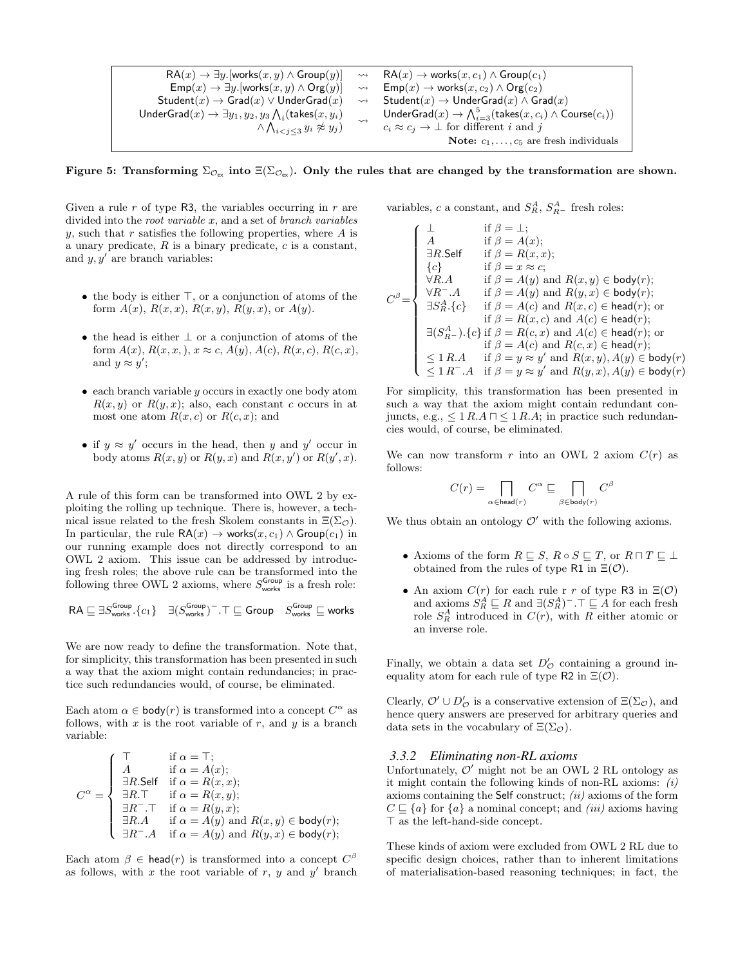$$
\begin{array}{ccc} \mathsf{RA}(x) \rightarrow \exists y . [\mathsf{works}(x,y) \wedge \mathsf{Group}(y)] & \rightsquigarrow & \mathsf{RA}(x) \rightarrow \mathsf{works}(x,c_1) \wedge \mathsf{Group}(c_1) \\ \mathsf{Emp}(x) \rightarrow \exists y . [\mathsf{works}(x,y) \wedge \mathsf{Org}(y)] & \rightsquigarrow & \mathsf{Emp}(x) \rightarrow \mathsf{works}(x,c_2) \wedge \mathsf{Org}(c_2) \\ \mathsf{Student}(x) \rightarrow \mathsf{Grad}(x) \vee \mathsf{UnderGrad}(x) & \rightsquigarrow & \mathsf{Student}(x) \rightarrow \mathsf{UnderGrad}(x) \wedge \mathsf{Grad}(x) \\ \mathsf{UnderGrad}(x) \rightarrow \exists y_1, y_2, y_3 \bigwedge_i (\mathsf{takes}(x,y_i) & \rightsquigarrow & \mathsf{UnderGrad}(x) \rightarrow \bigwedge_{i=3}^5 (\mathsf{takes}(x,c_i) \wedge \mathsf{Course}(c_i)) \\ & \wedge \bigwedge_{i < j \leq 3} y_i \not\approx y_j & c_i \approx c_j \rightarrow \bot \text{ for different } i \text{ and } j \\ & \mathsf{Note:} \ c_1, \ldots, c_5 \text{ are fresh individuals} \end{array}
$$

<span id="page-5-0"></span>Figure 5: Transforming  $\Sigma_{\mathcal{O}_{\mathcal{C}}}$  into  $\Xi(\Sigma_{\mathcal{O}_{\mathcal{C}}})$ . Only the rules that are changed by the transformation are shown.

Given a rule  $r$  of type R3, the variables occurring in  $r$  are divided into the *root variable x*, and a set of *branch variables* y, such that r satisfies the following properties, where  $A$  is a unary predicate,  $R$  is a binary predicate,  $c$  is a constant, and  $y, y'$  are branch variables:

- the body is either  $\top$ , or a conjunction of atoms of the form  $A(x)$ ,  $R(x, x)$ ,  $R(x, y)$ ,  $R(y, x)$ , or  $A(y)$ .
- the head is either ⊥ or a conjunction of atoms of the form  $A(x)$ ,  $R(x, x, \cdot)$ ,  $x \approx c$ ,  $A(y)$ ,  $A(c)$ ,  $R(x, c)$ ,  $R(c, x)$ , and  $y \approx y'$ ;
- $\bullet$  each branch variable y occurs in exactly one body atom  $R(x, y)$  or  $R(y, x)$ ; also, each constant c occurs in at most one atom  $R(x, c)$  or  $R(c, x)$ ; and
- if  $y \approx y'$  occurs in the head, then y and y' occur in body atoms  $R(x, y)$  or  $R(y, x)$  and  $R(x, y')$  or  $R(y', x)$ .

A rule of this form can be transformed into OWL 2 by exploiting the rolling up technique. There is, however, a technical issue related to the fresh Skolem constants in  $\Xi(\Sigma_{\mathcal{O}})$ . In particular, the rule  $\mathsf{RA}(x) \to \mathsf{works}(x, c_1) \land \mathsf{Group}(c_1)$  in our running example does not directly correspond to an OWL 2 axiom. This issue can be addressed by introducing fresh roles; the above rule can be transformed into the following three OWL 2 axioms, where  $S_{\text{works}}^{\text{Group}}$  is a fresh role:

$$
\mathsf{RA} \sqsubseteq \exists S^\mathsf{Group}_\mathsf{works}.\{c_1\} \quad \exists (S^\mathsf{Group}_\mathsf{works})^- . \top \sqsubseteq \mathsf{Group} \quad S^\mathsf{Group}_\mathsf{works} \sqsubseteq \mathsf{works}
$$

We are now ready to define the transformation. Note that, for simplicity, this transformation has been presented in such a way that the axiom might contain redundancies; in practice such redundancies would, of course, be eliminated.

Each atom  $\alpha \in \text{body}(r)$  is transformed into a concept  $C^{\alpha}$  as follows, with  $x$  is the root variable of  $r$ , and  $y$  is a branch variable:

$$
C^{\alpha} = \begin{cases} \top & \text{if } \alpha = \top; \\ A & \text{if } \alpha = A(x); \\ \exists R.\mathsf{Self} & \text{if } \alpha = R(x, x); \\ \exists R.\top & \text{if } \alpha = R(x, y); \\ \exists R^{-}.\top & \text{if } \alpha = R(y, x); \\ \exists R.A & \text{if } \alpha = A(y) \text{ and } R(x, y) \in \mathsf{body}(r); \\ \exists R^{-}.A & \text{if } \alpha = A(y) \text{ and } R(y, x) \in \mathsf{body}(r); \end{cases}
$$

Each atom  $\beta \in \text{head}(r)$  is transformed into a concept  $C^{\beta}$ as follows, with  $x$  the root variable of  $r, y$  and  $y'$  branch variables, c a constant, and  $S_R^A$ ,  $S_{R-}^A$  fresh roles:

$$
C^{\beta} = \begin{cases} \bot & \text{if } \beta = \bot; \\ A & \text{if } \beta = A(x); \\ \exists R.\mathsf{Self} & \text{if } \beta = R(x, x); \\ \{c\} & \text{if } \beta = x \approx c; \\ \forall R.A & \text{if } \beta = A(y) \text{ and } R(x, y) \in \mathsf{body}(r); \\ \forall R^{-}.A & \text{if } \beta = A(y) \text{ and } R(y, x) \in \mathsf{body}(r); \\ \exists S^A_A.\{c\} & \text{if } \beta = A(c) \text{ and } R(x, c) \in \mathsf{head}(r); \text{or} \\ \exists S^A_A.\{c\} & \text{if } \beta = R(x, c) \text{ and } A(c) \in \mathsf{head}(r); \\ \exists (S^A_{R^-}) . \{c\} \text{ if } \beta = R(c, x) \text{ and } A(c) \in \mathsf{head}(r); \\ \exists (S^A_{R^-}) . \{c\} \text{ if } \beta = R(c, x) \text{ and } R(c, x) \in \mathsf{head}(r); \\ \leq 1 \, R.A & \text{if } \beta = y \approx y' \text{ and } R(x, y), A(y) \in \mathsf{body}(r) \\ \leq 1 \, R^{-}.A & \text{if } \beta = y \approx y' \text{ and } R(y, x), A(y) \in \mathsf{body}(r) \end{cases}
$$

For simplicity, this transformation has been presented in such a way that the axiom might contain redundant conjuncts, e.g.,  $\leq 1$  R.A  $\sqcap \leq 1$  R.A; in practice such redundancies would, of course, be eliminated.

We can now transform r into an OWL 2 axiom  $C(r)$  as follows:

$$
C(r)=\prod_{\alpha\in\mathsf{head}(r)}C^\alpha\sqsubseteq\prod_{\beta\in\mathsf{body}(r)}C^\beta
$$

We thus obtain an ontology  $\mathcal{O}'$  with the following axioms.

- Axioms of the form  $R \sqsubseteq S$ ,  $R \circ S \sqsubseteq T$ , or  $R \sqcap T \sqsubseteq \bot$ obtained from the rules of type R1 in  $\Xi(\mathcal{O})$ .
- An axiom  $C(r)$  for each rule r r of type R3 in  $\Xi(\mathcal{O})$ and axioms  $S_R^A \sqsubseteq R$  and  $\exists (S_R^A)^- . \top \sqsubseteq A$  for each fresh role  $S_R^A$  introduced in  $C(r)$ , with R either atomic or an inverse role.

Finally, we obtain a data set  $D'_{\mathcal{O}}$  containing a ground inequality atom for each rule of type R2 in  $\Xi(\mathcal{O})$ .

Clearly,  $\mathcal{O}' \cup D'_{\mathcal{O}}$  is a conservative extension of  $\Xi(\Sigma_{\mathcal{O}})$ , and hence query answers are preserved for arbitrary queries and data sets in the vocabulary of  $\Xi(\Sigma_{\mathcal{O}})$ .

#### *3.3.2 Eliminating non-RL axioms*

Unfortunately,  $\mathcal{O}'$  might not be an OWL 2 RL ontology as it might contain the following kinds of non-RL axioms:  $(i)$ axioms containing the Self construct;  $(ii)$  axioms of the form  $C \subseteq \{a\}$  for  $\{a\}$  a nominal concept; and *(iii)* axioms having  $\top$  as the left-hand-side concept.

These kinds of axiom were excluded from OWL 2 RL due to specific design choices, rather than to inherent limitations of materialisation-based reasoning techniques; in fact, the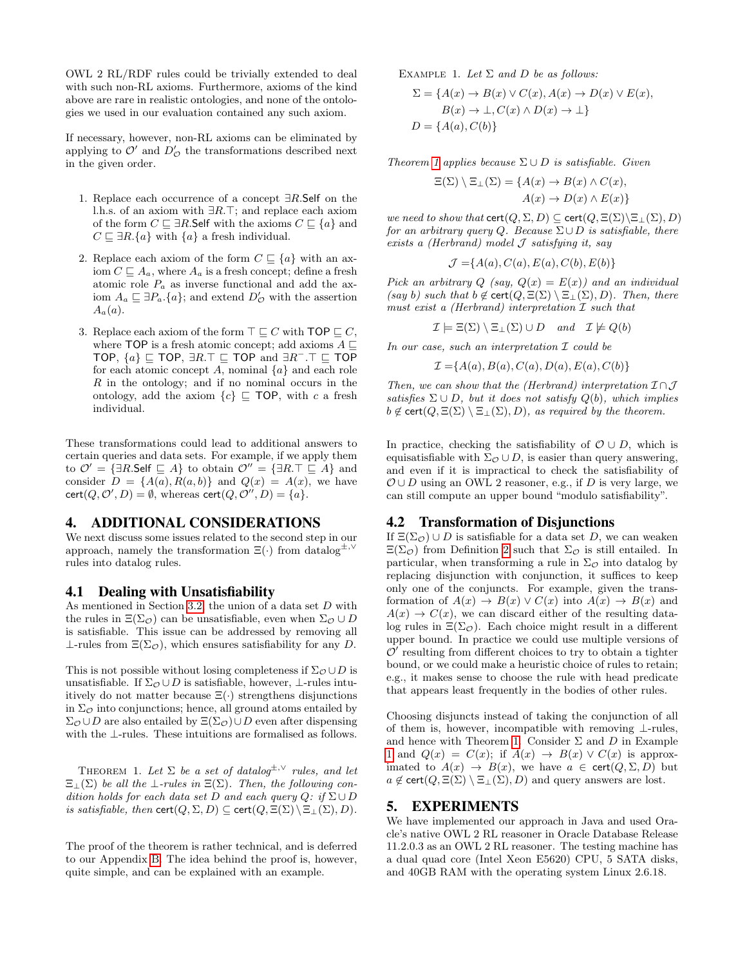OWL 2 RL/RDF rules could be trivially extended to deal with such non-RL axioms. Furthermore, axioms of the kind above are rare in realistic ontologies, and none of the ontologies we used in our evaluation contained any such axiom.

If necessary, however, non-RL axioms can be eliminated by applying to  $\mathcal{O}'$  and  $D'_{\mathcal{O}}$  the transformations described next in the given order.

- 1. Replace each occurrence of a concept  $\exists R$ . Self on the l.h.s. of an axiom with  $\exists R.\top$ ; and replace each axiom of the form  $C \sqsubseteq \exists R$ . Self with the axioms  $C \sqsubseteq \{a\}$  and  $C \sqsubseteq \exists R.\{a\}$  with  $\{a\}$  a fresh individual.
- 2. Replace each axiom of the form  $C \subseteq \{a\}$  with an axiom  $C \subseteq A_a$ , where  $A_a$  is a fresh concept; define a fresh atomic role  $P_a$  as inverse functional and add the axiom  $A_a \sqsubseteq \exists P_a.\{a\}$ ; and extend  $D'_{\mathcal{O}}$  with the assertion  $A_a(a)$ .
- 3. Replace each axiom of the form  $\top \sqsubset C$  with TOP  $\sqsubset C$ , where TOP is a fresh atomic concept; add axioms  $A \sqsubset$ TOP,  $\{a\} \sqsubseteq \text{TOP}, \exists R.\top \sqsubseteq \text{TOP}$  and  $\exists R^{\perp}.\top \sqsubseteq \text{TOP}$ for each atomic concept A, nominal  $\{a\}$  and each role  $R$  in the ontology; and if no nominal occurs in the ontology, add the axiom  ${c} \subseteq \text{TOP}$ , with c a fresh individual.

These transformations could lead to additional answers to certain queries and data sets. For example, if we apply them to  $\mathcal{O}' = {\exists R.\mathsf{Self} \sqsubseteq A}$  to obtain  $\mathcal{O}'' = {\exists R.\top \sqsubseteq A}$  and consider  $D = \{A(a), R(a, b)\}\$ and  $Q(x) = A(x)$ , we have cert $(Q, \mathcal{O}', D) = \emptyset$ , whereas cert $(Q, \mathcal{O}'', D) = \{a\}.$ 

## 4. ADDITIONAL CONSIDERATIONS

We next discuss some issues related to the second step in our approach, namely the transformation  $\Xi(\cdot)$  from datalog<sup>±,  $\vee$ </sup> rules into datalog rules.

#### <span id="page-6-0"></span>4.1 Dealing with Unsatisfiability

As mentioned in Section [3.2,](#page-3-4) the union of a data set D with the rules in  $\Xi(\Sigma_{\mathcal{O}})$  can be unsatisfiable, even when  $\Sigma_{\mathcal{O}} \cup D$ is satisfiable. This issue can be addressed by removing all  $\perp$ -rules from  $\Xi(\Sigma_{\mathcal{O}})$ , which ensures satisfiability for any D.

This is not possible without losing completeness if  $\Sigma_{\mathcal{O}} \cup D$  is unsatisfiable. If  $\Sigma_{\mathcal{O}} \cup D$  is satisfiable, however, ⊥-rules intuitively do not matter because  $\Xi(\cdot)$  strengthens disjunctions in  $\Sigma_{\mathcal{O}}$  into conjunctions; hence, all ground atoms entailed by  $\Sigma_{\mathcal{O}} \cup D$  are also entailed by  $\Xi(\Sigma_{\mathcal{O}}) \cup D$  even after dispensing with the ⊥-rules. These intuitions are formalised as follows.

<span id="page-6-1"></span>THEOREM 1. Let  $\Sigma$  be a set of datalog<sup> $\pm, \vee$ </sup> rules, and let  $\Xi_{\perp}(\Sigma)$  be all the  $\perp$ -rules in  $\Xi(\Sigma)$ . Then, the following condition holds for each data set D and each query  $Q: if \Sigma \cup D$ is satisfiable, then  $\text{cert}(Q, \Sigma, D) \subseteq \text{cert}(Q, \Xi(\Sigma) \setminus \Xi_{\bot}(\Sigma), D)$ .

<span id="page-6-2"></span>The proof of the theorem is rather technical, and is deferred to our Appendix [B.](#page-11-1) The idea behind the proof is, however, quite simple, and can be explained with an example.

EXAMPLE 1. Let  $\Sigma$  and  $D$  be as follows:

$$
\Sigma = \{A(x) \to B(x) \lor C(x), A(x) \to D(x) \lor E(x),
$$
  
\n
$$
B(x) \to \bot, C(x) \land D(x) \to \bot\}
$$
  
\n
$$
D = \{A(a), C(b)\}
$$

Theorem [1](#page-6-1) applies because  $\Sigma \cup D$  is satisfiable. Given

$$
\Xi(\Sigma) \setminus \Xi_{\perp}(\Sigma) = \{ A(x) \to B(x) \land C(x),
$$

$$
A(x) \to D(x) \land E(x) \}
$$

we need to show that  $\text{cert}(Q, \Sigma, D) \subseteq \text{cert}(Q, \Xi(\Sigma) \setminus \Xi_{\bot}(\Sigma), D)$ for an arbitrary query Q. Because  $\Sigma \cup D$  is satisfiable, there exists a (Herbrand) model  $\mathcal J$  satisfying it, say

$$
\mathcal{J} = \{A(a), C(a), E(a), C(b), E(b)\}
$$

Pick an arbitrary Q (say,  $Q(x) = E(x)$ ) and an individual (say b) such that  $b \notin \text{cert}(Q, \Xi(\Sigma) \setminus \Xi_{\bot}(\Sigma), D)$ . Then, there must exist a (Herbrand) interpretation  $\mathcal I$  such that

 $\mathcal{I} \models \Xi(\Sigma) \setminus \Xi_{\bot}(\Sigma) \cup D$  and  $\mathcal{I} \not\models Q(b)$ 

In our case, such an interpretation  $\mathcal I$  could be

 $\mathcal{I} = \{A(a), B(a), C(a), D(a), E(a), C(b)\}\$ 

Then, we can show that the (Herbrand) interpretation  $\mathcal{I} \cap \mathcal{J}$ satisfies  $\Sigma \cup D$ , but it does not satisfy  $Q(b)$ , which implies  $b \notin \text{cert}(Q, \Xi(\Sigma) \setminus \Xi_{\perp}(\Sigma), D)$ , as required by the theorem.

In practice, checking the satisfiability of  $\mathcal{O} \cup D$ , which is equisatisfiable with  $\Sigma_{\mathcal{O}} \cup D$ , is easier than query answering, and even if it is impractical to check the satisfiability of  $\mathcal{O} \cup D$  using an OWL 2 reasoner, e.g., if D is very large, we can still compute an upper bound "modulo satisfiability".

#### 4.2 Transformation of Disjunctions

If  $\Xi(\Sigma_{\mathcal{O}}) \cup D$  is satisfiable for a data set D, we can weaken  $\Xi(\Sigma_{\mathcal{O}})$  from Definition [2](#page-3-3) such that  $\Sigma_{\mathcal{O}}$  is still entailed. In particular, when transforming a rule in  $\Sigma_{\mathcal{O}}$  into datalog by replacing disjunction with conjunction, it suffices to keep only one of the conjuncts. For example, given the transformation of  $A(x) \to B(x) \vee C(x)$  into  $A(x) \to B(x)$  and  $A(x) \rightarrow C(x)$ , we can discard either of the resulting datalog rules in  $\Xi(\Sigma_{\mathcal{O}})$ . Each choice might result in a different upper bound. In practice we could use multiple versions of  $\mathcal{O}'$  resulting from different choices to try to obtain a tighter bound, or we could make a heuristic choice of rules to retain; e.g., it makes sense to choose the rule with head predicate that appears least frequently in the bodies of other rules.

Choosing disjuncts instead of taking the conjunction of all of them is, however, incompatible with removing ⊥-rules, and hence with Theorem [1.](#page-6-1) Consider  $\Sigma$  and  $D$  in Example [1](#page-6-2) and  $Q(x) = C(x)$ ; if  $A(x) \rightarrow B(x) \vee C(x)$  is approximated to  $A(x) \rightarrow B(x)$ , we have  $a \in \text{cert}(Q, \Sigma, D)$  but  $a \notin \text{cert}(Q, \Xi(\Sigma) \setminus \Xi_{\perp}(\Sigma), D)$  and query answers are lost.

#### 5. EXPERIMENTS

We have implemented our approach in Java and used Oracle's native OWL 2 RL reasoner in Oracle Database Release 11.2.0.3 as an OWL 2 RL reasoner. The testing machine has a dual quad core (Intel Xeon E5620) CPU, 5 SATA disks, and 40GB RAM with the operating system Linux 2.6.18.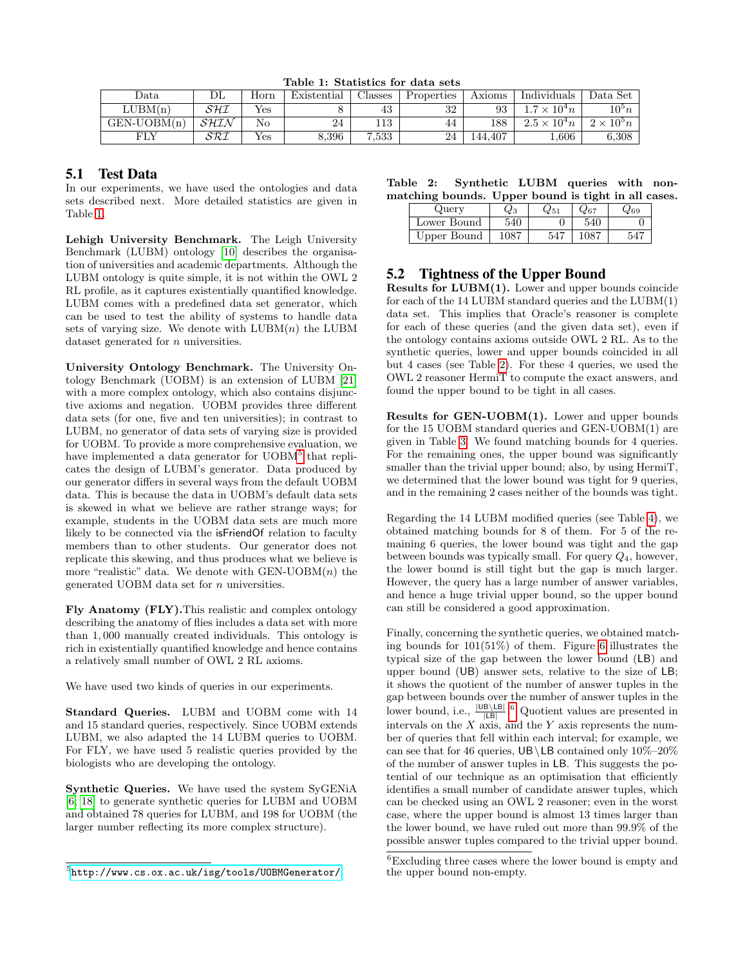<span id="page-7-0"></span>Table 1: Statistics for data sets

| Data          | DL   | Horn | Existential | Jlasses | Properties | Axioms  | Individuals         | $\rm Data\ Set$     |
|---------------|------|------|-------------|---------|------------|---------|---------------------|---------------------|
| LUBM(n)       | SHI  | Yes  |             | 43      | າາ<br>⊿ں   | 93      | $1.7 \times 10^4 n$ | $10^{\rm b}n$       |
| $GEN-UOBM(n)$ | SHIN | No   | 24          | 113     | 44         | 188     | $2.5 \times 10^4 n$ | $2 \times 10^{5} n$ |
| FLY           | SRI  | Yes  | 3.396       | 7,533   | 24         | 144.407 | 1,606               | 6,308               |

## 5.1 Test Data

In our experiments, we have used the ontologies and data sets described next. More detailed statistics are given in Table [1.](#page-7-0)

Lehigh University Benchmark. The Leigh University Benchmark (LUBM) ontology [\[10\]](#page-10-27) describes the organisation of universities and academic departments. Although the LUBM ontology is quite simple, it is not within the OWL 2 RL profile, as it captures existentially quantified knowledge. LUBM comes with a predefined data set generator, which can be used to test the ability of systems to handle data sets of varying size. We denote with  $LUBM(n)$  the LUBM dataset generated for n universities.

University Ontology Benchmark. The University Ontology Benchmark (UOBM) is an extension of LUBM [\[21\]](#page-10-28) with a more complex ontology, which also contains disjunctive axioms and negation. UOBM provides three different data sets (for one, five and ten universities); in contrast to LUBM, no generator of data sets of varying size is provided for UOBM. To provide a more comprehensive evaluation, we have implemented a data generator for UOBM<sup>[5](#page-7-1)</sup> that replicates the design of LUBM's generator. Data produced by our generator differs in several ways from the default UOBM data. This is because the data in UOBM's default data sets is skewed in what we believe are rather strange ways; for example, students in the UOBM data sets are much more likely to be connected via the isFriendOf relation to faculty members than to other students. Our generator does not replicate this skewing, and thus produces what we believe is more "realistic" data. We denote with  $GEN-UOBM(n)$  the generated UOBM data set for n universities.

Fly Anatomy (FLY).This realistic and complex ontology describing the anatomy of flies includes a data set with more than 1, 000 manually created individuals. This ontology is rich in existentially quantified knowledge and hence contains a relatively small number of OWL 2 RL axioms.

We have used two kinds of queries in our experiments.

Standard Queries. LUBM and UOBM come with 14 and 15 standard queries, respectively. Since UOBM extends LUBM, we also adapted the 14 LUBM queries to UOBM. For FLY, we have used 5 realistic queries provided by the biologists who are developing the ontology.

Synthetic Queries. We have used the system SyGENiA [\[6,](#page-10-29) [18\]](#page-10-30) to generate synthetic queries for LUBM and UOBM and obtained 78 queries for LUBM, and 198 for UOBM (the larger number reflecting its more complex structure).

|  | Table 2: Synthetic LUBM queries with non-           |  |  |  |
|--|-----------------------------------------------------|--|--|--|
|  | matching bounds. Upper bound is tight in all cases. |  |  |  |

<span id="page-7-2"></span>

| Query       | ⊍3  |     |     | 269 |
|-------------|-----|-----|-----|-----|
| Lower Bound | 540 |     | 540 |     |
| Upper Bound |     | ZAT |     |     |

## 5.2 Tightness of the Upper Bound

Results for LUBM(1). Lower and upper bounds coincide for each of the 14 LUBM standard queries and the LUBM(1) data set. This implies that Oracle's reasoner is complete for each of these queries (and the given data set), even if the ontology contains axioms outside OWL 2 RL. As to the synthetic queries, lower and upper bounds coincided in all but 4 cases (see Table [2\)](#page-7-2). For these 4 queries, we used the OWL 2 reasoner HermiT to compute the exact answers, and found the upper bound to be tight in all cases.

Results for GEN-UOBM(1). Lower and upper bounds for the 15 UOBM standard queries and GEN-UOBM(1) are given in Table [3.](#page-8-1) We found matching bounds for 4 queries. For the remaining ones, the upper bound was significantly smaller than the trivial upper bound; also, by using HermiT, we determined that the lower bound was tight for 9 queries, and in the remaining 2 cases neither of the bounds was tight.

Regarding the 14 LUBM modified queries (see Table [4\)](#page-8-2), we obtained matching bounds for 8 of them. For 5 of the remaining 6 queries, the lower bound was tight and the gap between bounds was typically small. For query  $Q_4$ , however, the lower bound is still tight but the gap is much larger. However, the query has a large number of answer variables, and hence a huge trivial upper bound, so the upper bound can still be considered a good approximation.

Finally, concerning the synthetic queries, we obtained matching bounds for 101(51%) of them. Figure [6](#page-8-3) illustrates the typical size of the gap between the lower bound (LB) and upper bound (UB) answer sets, relative to the size of LB; it shows the quotient of the number of answer tuples in the gap between bounds over the number of answer tuples in the lower bound, i.e.,  $\frac{|\text{UB} \setminus \text{LB}|}{|\text{LB}|}$ .<sup>[6](#page-7-3)</sup> Quotient values are presented in intervals on the  $X$  axis, and the  $Y$  axis represents the number of queries that fell within each interval; for example, we can see that for 46 queries,  $UB \ LB$  contained only  $10\%-20\%$ of the number of answer tuples in LB. This suggests the potential of our technique as an optimisation that efficiently identifies a small number of candidate answer tuples, which can be checked using an OWL 2 reasoner; even in the worst case, where the upper bound is almost 13 times larger than the lower bound, we have ruled out more than 99.9% of the possible answer tuples compared to the trivial upper bound.

<span id="page-7-1"></span> $5$ <http://www.cs.ox.ac.uk/isg/tools/UOBMGenerator/>

<span id="page-7-3"></span><sup>6</sup>Excluding three cases where the lower bound is empty and the upper bound non-empty.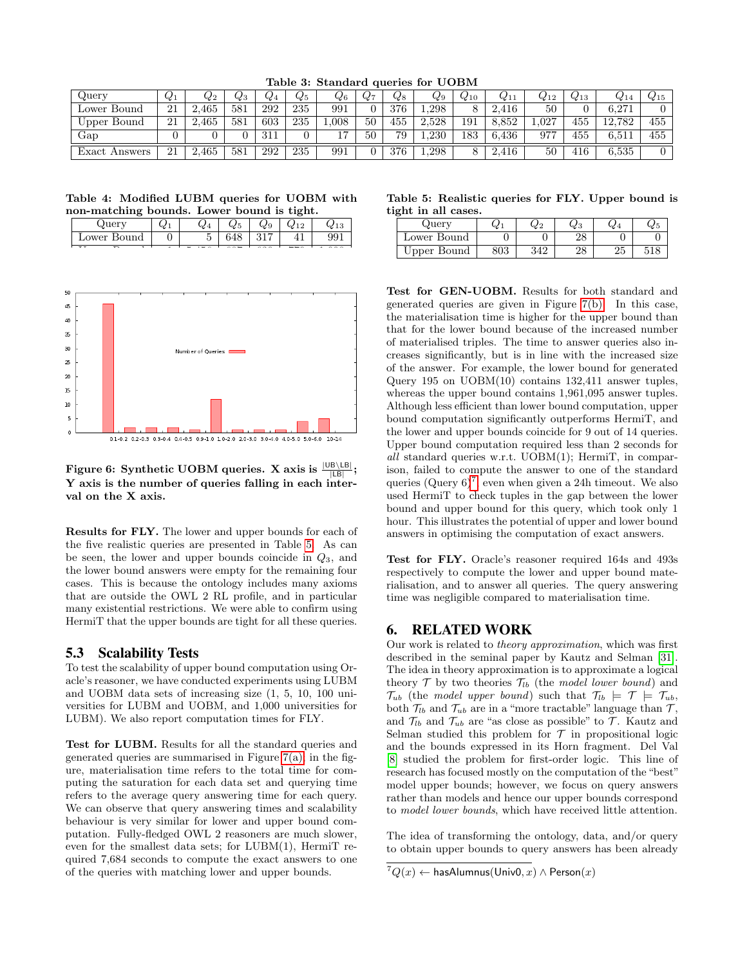| Querv         | $Q_1$ | $Q_2$     | ⊌3  | $\mathcal{Q}_4$ | $Q_{5}$ | $\mathcal{Q}_6$ | $\mathcal{U}$ 7 | ५⁄ 8     | $_{\rm Q9}$ | $Q_{10}$ | $Q_{11}$ | $Q_{12}$ | $Q_{13}$ | $\alpha$ 14 | $_{\rm 415}$ |
|---------------|-------|-----------|-----|-----------------|---------|-----------------|-----------------|----------|-------------|----------|----------|----------|----------|-------------|--------------|
| Lower Bound   | 21    | .465      | 581 | 292             | 235     | 991             |                 | 376      | 1.298       | ହ        | 416      | 50       |          | 6.271       |              |
| Upper Bound   | 21    | 465       | 581 | 603             | 235     | .008            | $50\,$          | 455      | 2.528       | 191      | 8.852    | 1.027    | 455      | 12.782      | 455          |
| Gap           |       |           |     | 311             |         | $\overline{ }$  | 50              | 79       | 1.230       | 183      | 6,436    | 977      | 455      | 6.511       | 455          |
| Exact Answers | 21    | .465<br>∼ | 581 | 292             | 235     | 991             |                 | $^{376}$ | 1,298       |          | 416      | 50       | 416      | 6,535       |              |

<span id="page-8-1"></span>Table 3: Standard queries for UOBM

<span id="page-8-2"></span>Table 4: Modified LUBM queries for UOBM with non-matching bounds. Lower bound is tight.

| ue.                  | $\sim$ | w                              | 92 D | У   |     |    |
|----------------------|--------|--------------------------------|------|-----|-----|----|
| Bound<br>$\sim$ ower | ັ      | $\check{ }$<br>◡               | ŦΟ   | 017 |     | ◡◡ |
| - -<br>$\sim$        |        | $\sim$ $\sim$ $\sim$<br>$\sim$ |      |     | --- |    |



<span id="page-8-3"></span>Figure 6: Synthetic UOBM queries. X axis is  $\frac{|\mathsf{UB} \setminus \mathsf{LB}|}{|\mathsf{LB}|};$ Y axis is the number of queries falling in each interval on the X axis.

Results for FLY. The lower and upper bounds for each of the five realistic queries are presented in Table [5.](#page-8-4) As can be seen, the lower and upper bounds coincide in  $Q_3$ , and the lower bound answers were empty for the remaining four cases. This is because the ontology includes many axioms that are outside the OWL 2 RL profile, and in particular many existential restrictions. We were able to confirm using HermiT that the upper bounds are tight for all these queries.

#### 5.3 Scalability Tests

To test the scalability of upper bound computation using Oracle's reasoner, we have conducted experiments using LUBM and UOBM data sets of increasing size (1, 5, 10, 100 universities for LUBM and UOBM, and 1,000 universities for LUBM). We also report computation times for FLY.

Test for LUBM. Results for all the standard queries and generated queries are summarised in Figure  $7(a)$ ; in the figure, materialisation time refers to the total time for computing the saturation for each data set and querying time refers to the average query answering time for each query. We can observe that query answering times and scalability behaviour is very similar for lower and upper bound computation. Fully-fledged OWL 2 reasoners are much slower, even for the smallest data sets; for LUBM(1), HermiT required 7,684 seconds to compute the exact answers to one of the queries with matching lower and upper bounds.

<span id="page-8-4"></span>Table 5: Realistic queries for FLY. Upper bound is tight in all cases.

| Juery       | W.          | $\alpha$ | ৸৴ | W Z | પ્યા |
|-------------|-------------|----------|----|-----|------|
| Lower Bound |             |          |    |     |      |
| Upper Bound | פחכ<br>่o∪ง |          | 40 | ∠∪  |      |

Test for GEN-UOBM. Results for both standard and generated queries are given in Figure [7\(b\).](#page-9-1) In this case, the materialisation time is higher for the upper bound than that for the lower bound because of the increased number of materialised triples. The time to answer queries also increases significantly, but is in line with the increased size of the answer. For example, the lower bound for generated Query 195 on UOBM(10) contains 132,411 answer tuples, whereas the upper bound contains 1,961,095 answer tuples. Although less efficient than lower bound computation, upper bound computation significantly outperforms HermiT, and the lower and upper bounds coincide for 9 out of 14 queries. Upper bound computation required less than 2 seconds for all standard queries w.r.t. UOBM(1); HermiT, in comparison, failed to compute the answer to one of the standard queries  $(\text{Query } 6)^7$  $(\text{Query } 6)^7$ , even when given a 24h timeout. We also used HermiT to check tuples in the gap between the lower bound and upper bound for this query, which took only 1 hour. This illustrates the potential of upper and lower bound answers in optimising the computation of exact answers.

Test for FLY. Oracle's reasoner required 164s and 493s respectively to compute the lower and upper bound materialisation, and to answer all queries. The query answering time was negligible compared to materialisation time.

## <span id="page-8-0"></span>6. RELATED WORK

Our work is related to theory approximation, which was first described in the seminal paper by Kautz and Selman [\[31\]](#page-10-16). The idea in theory approximation is to approximate a logical theory  $\mathcal T$  by two theories  $\mathcal T_{lb}$  (the model lower bound) and  $\mathcal{T}_{ub}$  (the model upper bound) such that  $\mathcal{T}_{lb} \models \mathcal{T} \models \mathcal{T}_{ub}$ , both  $\mathcal{T}_{lb}$  and  $\mathcal{T}_{ub}$  are in a "more tractable" language than  $\mathcal{T}_{ib}$ and  $\mathcal{T}_{lb}$  and  $\mathcal{T}_{ub}$  are "as close as possible" to  $\mathcal{T}$ . Kautz and Selman studied this problem for  $\mathcal T$  in propositional logic and the bounds expressed in its Horn fragment. Del Val [\[8\]](#page-10-15) studied the problem for first-order logic. This line of research has focused mostly on the computation of the "best" model upper bounds; however, we focus on query answers rather than models and hence our upper bounds correspond to model lower bounds, which have received little attention.

The idea of transforming the ontology, data, and/or query to obtain upper bounds to query answers has been already

<span id="page-8-5"></span> ${}^7Q(x) \leftarrow$  hasAlumnus(Univ0, x)  $\wedge$  Person(x)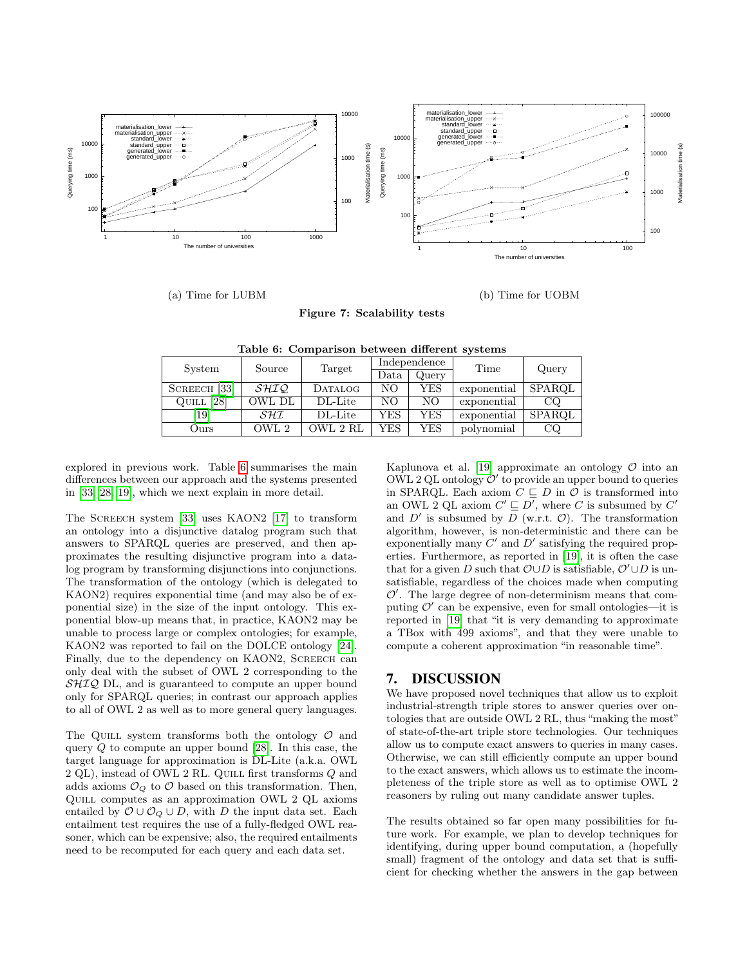

<span id="page-9-0"></span>(a) Time for LUBM

(b) Time for UOBM

<span id="page-9-2"></span><span id="page-9-1"></span>Figure 7: Scalability tests

| System            | Source      | Target   |      | Independence | Time        | Query  |  |
|-------------------|-------------|----------|------|--------------|-------------|--------|--|
|                   |             |          | Data | Query        |             |        |  |
| $SCREECH$ $33$    | <i>SHIQ</i> | DATALOG  | NO.  | YES          | exponential | SPARQL |  |
| [28]<br>QUILL     | OWL DL      | DL-Lite  | NO   | NΟ           | exponential | CQ     |  |
| $\left[19\right]$ | SHI         | DL-Lite  | YES  | YES          | exponential | SPAROL |  |
| Ours              | OWL 2       | OWL 2 RL | YES  | YES          | polynomial  | CQ     |  |

Table 6: Comparison between different systems

explored in previous work. Table [6](#page-9-2) summarises the main differences between our approach and the systems presented in [\[33,](#page-10-17) [28,](#page-10-18) [19\]](#page-10-19), which we next explain in more detail.

The Screech system [\[33\]](#page-10-17) uses KAON2 [\[17\]](#page-10-31) to transform an ontology into a disjunctive datalog program such that answers to SPARQL queries are preserved, and then approximates the resulting disjunctive program into a datalog program by transforming disjunctions into conjunctions. The transformation of the ontology (which is delegated to KAON2) requires exponential time (and may also be of exponential size) in the size of the input ontology. This exponential blow-up means that, in practice, KAON2 may be unable to process large or complex ontologies; for example, KAON2 was reported to fail on the DOLCE ontology [\[24\]](#page-10-32). Finally, due to the dependency on KAON2, SCREECH can only deal with the subset of OWL 2 corresponding to the  $\mathcal{SHIQ}$  DL, and is guaranteed to compute an upper bound only for SPARQL queries; in contrast our approach applies to all of OWL 2 as well as to more general query languages.

The QUILL system transforms both the ontology  $\mathcal O$  and query  $Q$  to compute an upper bound [\[28\]](#page-10-18). In this case, the target language for approximation is DL-Lite (a.k.a. OWL  $2$  QL), instead of OWL  $2$  RL. QUILL first transforms  ${\cal Q}$  and adds axioms  $\mathcal{O}_Q$  to  $\mathcal O$  based on this transformation. Then, Quill computes as an approximation OWL 2 QL axioms entailed by  $\mathcal{O} \cup \mathcal{O}_Q \cup D$ , with D the input data set. Each entailment test requires the use of a fully-fledged OWL reasoner, which can be expensive; also, the required entailments need to be recomputed for each query and each data set.

Kaplunova et al. [\[19\]](#page-10-19) approximate an ontology  $\mathcal O$  into an OWL 2 QL ontology  $\mathcal{O}'$  to provide an upper bound to queries in SPARQL. Each axiom  $C \sqsubset D$  in  $\mathcal O$  is transformed into an OWL 2 QL axiom  $C' \sqsubseteq D'$ , where C is subsumed by  $C'$ and  $D'$  is subsumed by  $D$  (w.r.t.  $\mathcal{O}$ ). The transformation algorithm, however, is non-deterministic and there can be exponentially many  $C'$  and  $D'$  satisfying the required properties. Furthermore, as reported in [\[19\]](#page-10-19), it is often the case that for a given D such that  $\mathcal{O} \cup D$  is satisfiable,  $\mathcal{O}' \cup D$  is unsatisfiable, regardless of the choices made when computing  $\mathcal{O}'$ . The large degree of non-determinism means that computing  $\mathcal{O}'$  can be expensive, even for small ontologies—it is reported in [\[19\]](#page-10-19) that "it is very demanding to approximate a TBox with 499 axioms", and that they were unable to compute a coherent approximation "in reasonable time".

## 7. DISCUSSION

We have proposed novel techniques that allow us to exploit industrial-strength triple stores to answer queries over ontologies that are outside OWL 2 RL, thus "making the most" of state-of-the-art triple store technologies. Our techniques allow us to compute exact answers to queries in many cases. Otherwise, we can still efficiently compute an upper bound to the exact answers, which allows us to estimate the incompleteness of the triple store as well as to optimise OWL 2 reasoners by ruling out many candidate answer tuples.

The results obtained so far open many possibilities for future work. For example, we plan to develop techniques for identifying, during upper bound computation, a (hopefully small) fragment of the ontology and data set that is sufficient for checking whether the answers in the gap between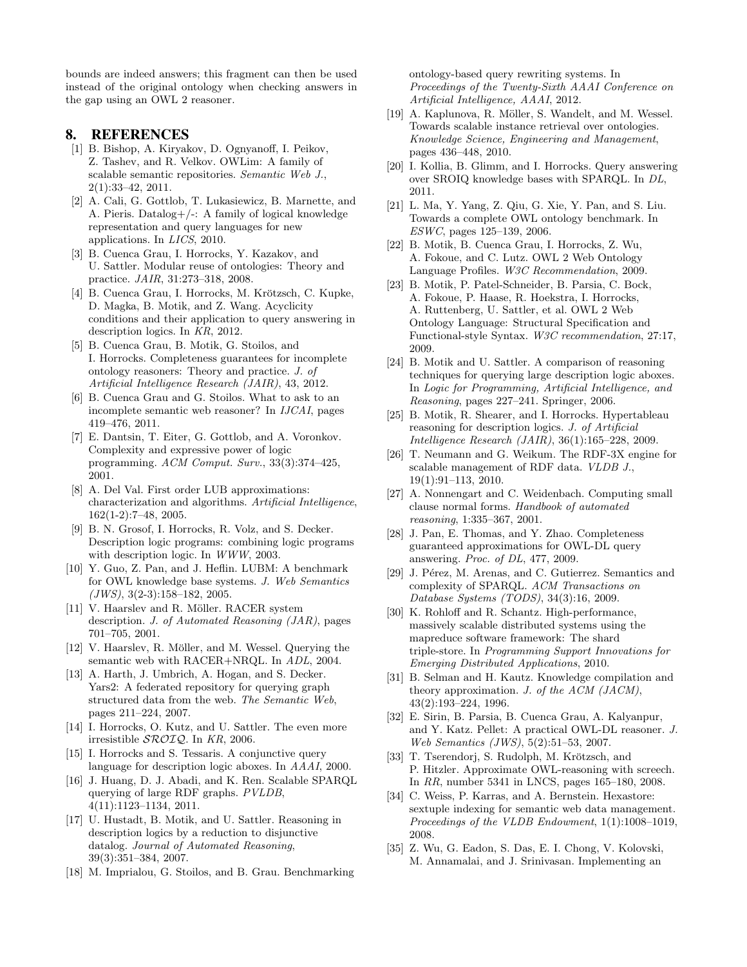bounds are indeed answers; this fragment can then be used instead of the original ontology when checking answers in the gap using an OWL 2 reasoner.

#### 8. REFERENCES

- <span id="page-10-8"></span>[1] B. Bishop, A. Kiryakov, D. Ognyanoff, I. Peikov, Z. Tashev, and R. Velkov. OWLim: A family of scalable semantic repositories. Semantic Web J., 2(1):33–42, 2011.
- <span id="page-10-23"></span>[2] A. Cali, G. Gottlob, T. Lukasiewicz, B. Marnette, and A. Pieris. Datalog+/-: A family of logical knowledge representation and query languages for new applications. In LICS, 2010.
- <span id="page-10-24"></span>[3] B. Cuenca Grau, I. Horrocks, Y. Kazakov, and U. Sattler. Modular reuse of ontologies: Theory and practice. JAIR, 31:273–318, 2008.
- <span id="page-10-25"></span>[4] B. Cuenca Grau, I. Horrocks, M. Krötzsch, C. Kupke, D. Magka, B. Motik, and Z. Wang. Acyclicity conditions and their application to query answering in description logics. In KR, 2012.
- <span id="page-10-33"></span>[5] B. Cuenca Grau, B. Motik, G. Stoilos, and I. Horrocks. Completeness guarantees for incomplete ontology reasoners: Theory and practice. J. of Artificial Intelligence Research (JAIR), 43, 2012.
- <span id="page-10-29"></span>[6] B. Cuenca Grau and G. Stoilos. What to ask to an incomplete semantic web reasoner? In IJCAI, pages 419–476, 2011.
- <span id="page-10-22"></span>[7] E. Dantsin, T. Eiter, G. Gottlob, and A. Voronkov. Complexity and expressive power of logic programming. ACM Comput. Surv., 33(3):374–425, 2001.
- <span id="page-10-15"></span>[8] A. Del Val. First order LUB approximations: characterization and algorithms. Artificial Intelligence, 162(1-2):7–48, 2005.
- <span id="page-10-21"></span>[9] B. N. Grosof, I. Horrocks, R. Volz, and S. Decker. Description logic programs: combining logic programs with description logic. In WWW, 2003.
- <span id="page-10-27"></span>[10] Y. Guo, Z. Pan, and J. Heflin. LUBM: A benchmark for OWL knowledge base systems. J. Web Semantics  $(JWS), 3(2-3):158-182, 2005.$
- <span id="page-10-12"></span>[11] V. Haarslev and R. Möller. RACER system description. J. of Automated Reasoning (JAR), pages 701–705, 2001.
- <span id="page-10-14"></span>[12] V. Haarslev, R. Möller, and M. Wessel. Querying the semantic web with RACER+NRQL. In ADL, 2004.
- <span id="page-10-5"></span>[13] A. Harth, J. Umbrich, A. Hogan, and S. Decker. Yars2: A federated repository for querying graph structured data from the web. The Semantic Web, pages 211–224, 2007.
- <span id="page-10-20"></span>[14] I. Horrocks, O. Kutz, and U. Sattler. The even more irresistible SROIQ. In KR, 2006.
- <span id="page-10-26"></span>[15] I. Horrocks and S. Tessaris. A conjunctive query language for description logic aboxes. In AAAI, 2000.
- <span id="page-10-6"></span>[16] J. Huang, D. J. Abadi, and K. Ren. Scalable SPARQL querying of large RDF graphs. PVLDB, 4(11):1123–1134, 2011.
- <span id="page-10-31"></span>[17] U. Hustadt, B. Motik, and U. Sattler. Reasoning in description logics by a reduction to disjunctive datalog. Journal of Automated Reasoning, 39(3):351–384, 2007.
- <span id="page-10-30"></span>[18] M. Imprialou, G. Stoilos, and B. Grau. Benchmarking

ontology-based query rewriting systems. In Proceedings of the Twenty-Sixth AAAI Conference on Artificial Intelligence, AAAI, 2012.

- <span id="page-10-19"></span>[19] A. Kaplunova, R. Möller, S. Wandelt, and M. Wessel. Towards scalable instance retrieval over ontologies. Knowledge Science, Engineering and Management, pages 436–448, 2010.
- <span id="page-10-13"></span>[20] I. Kollia, B. Glimm, and I. Horrocks. Query answering over SROIQ knowledge bases with SPARQL. In DL, 2011.
- <span id="page-10-28"></span>[21] L. Ma, Y. Yang, Z. Qiu, G. Xie, Y. Pan, and S. Liu. Towards a complete OWL ontology benchmark. In ESWC, pages 125–139, 2006.
- <span id="page-10-7"></span>[22] B. Motik, B. Cuenca Grau, I. Horrocks, Z. Wu, A. Fokoue, and C. Lutz. OWL 2 Web Ontology Language Profiles. W3C Recommendation, 2009.
- <span id="page-10-1"></span>[23] B. Motik, P. Patel-Schneider, B. Parsia, C. Bock, A. Fokoue, P. Haase, R. Hoekstra, I. Horrocks, A. Ruttenberg, U. Sattler, et al. OWL 2 Web Ontology Language: Structural Specification and Functional-style Syntax. W3C recommendation, 27:17, 2009.
- <span id="page-10-32"></span>[24] B. Motik and U. Sattler. A comparison of reasoning techniques for querying large description logic aboxes. In Logic for Programming, Artificial Intelligence, and Reasoning, pages 227–241. Springer, 2006.
- <span id="page-10-10"></span>[25] B. Motik, R. Shearer, and I. Horrocks. Hypertableau reasoning for description logics. J. of Artificial Intelligence Research (JAIR), 36(1):165–228, 2009.
- <span id="page-10-3"></span>[26] T. Neumann and G. Weikum. The RDF-3X engine for scalable management of RDF data. VLDB J., 19(1):91–113, 2010.
- <span id="page-10-34"></span>[27] A. Nonnengart and C. Weidenbach. Computing small clause normal forms. Handbook of automated reasoning, 1:335–367, 2001.
- <span id="page-10-18"></span>[28] J. Pan, E. Thomas, and Y. Zhao. Completeness guaranteed approximations for OWL-DL query answering. Proc. of DL, 477, 2009.
- <span id="page-10-0"></span>[29] J. Pérez, M. Arenas, and C. Gutierrez. Semantics and complexity of SPARQL. ACM Transactions on Database Systems (TODS), 34(3):16, 2009.
- <span id="page-10-4"></span>[30] K. Rohloff and R. Schantz. High-performance, massively scalable distributed systems using the mapreduce software framework: The shard triple-store. In Programming Support Innovations for Emerging Distributed Applications, 2010.
- <span id="page-10-16"></span>[31] B. Selman and H. Kautz. Knowledge compilation and theory approximation. J. of the ACM (JACM), 43(2):193–224, 1996.
- <span id="page-10-11"></span>[32] E. Sirin, B. Parsia, B. Cuenca Grau, A. Kalyanpur, and Y. Katz. Pellet: A practical OWL-DL reasoner. J. Web Semantics (JWS), 5(2):51–53, 2007.
- <span id="page-10-17"></span>[33] T. Tserendorj, S. Rudolph, M. Krötzsch, and P. Hitzler. Approximate OWL-reasoning with screech. In RR, number 5341 in LNCS, pages 165–180, 2008.
- <span id="page-10-2"></span>[34] C. Weiss, P. Karras, and A. Bernstein. Hexastore: sextuple indexing for semantic web data management. Proceedings of the VLDB Endowment, 1(1):1008–1019, 2008.
- <span id="page-10-9"></span>[35] Z. Wu, G. Eadon, S. Das, E. I. Chong, V. Kolovski, M. Annamalai, and J. Srinivasan. Implementing an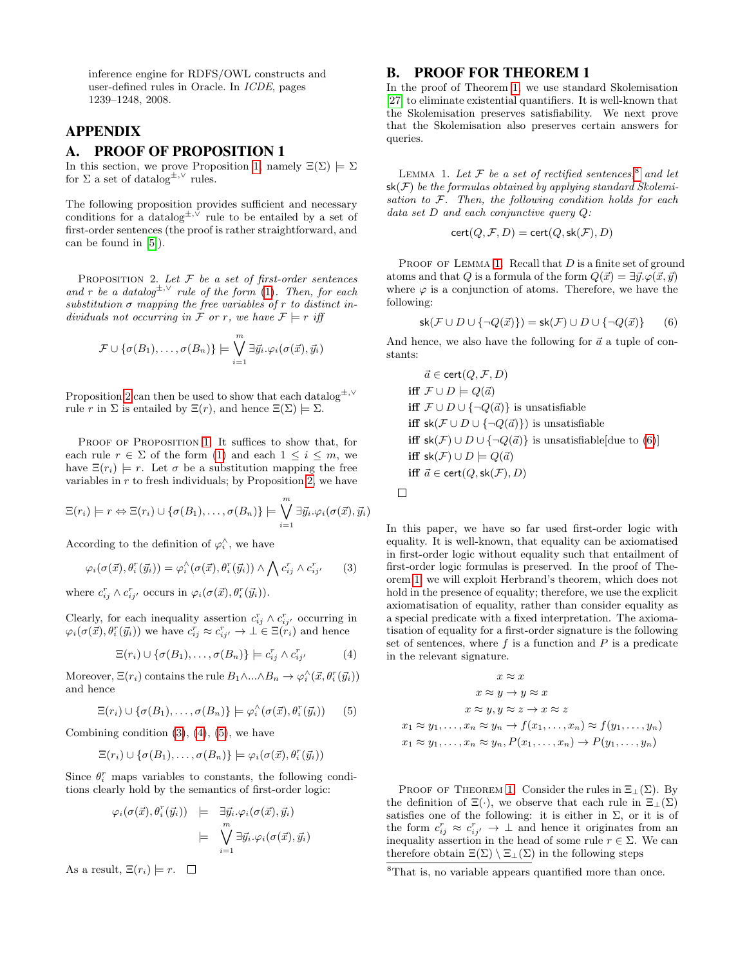inference engine for RDFS/OWL constructs and user-defined rules in Oracle. In ICDE, pages 1239–1248, 2008.

## APPENDIX

## <span id="page-11-0"></span>A. PROOF OF PROPOSITION 1

In this section, we prove Proposition [1,](#page-3-2) namely  $\Xi(\Sigma) \models \Sigma$ for  $\Sigma$  a set of datalog<sup> $\pm, \vee$ </sup> rules.

<span id="page-11-2"></span>The following proposition provides sufficient and necessary conditions for a datalog<sup> $\pm$ ,∨</sup> rule to be entailed by a set of first-order sentences (the proof is rather straightforward, and can be found in [\[5\]](#page-10-33)).

PROPOSITION 2. Let  $F$  be a set of first-order sentences and r be a datalog<sup> $\pm$ , $\vee$ </sup> rule of the form [\(1\)](#page-2-1). Then, for each substitution  $\sigma$  mapping the free variables of r to distinct individuals not occurring in F or r, we have  $\mathcal{F} \models r$  iff

$$
\mathcal{F} \cup \{\sigma(B_1), \ldots, \sigma(B_n)\} \models \bigvee_{i=1}^m \exists \vec{y}_i . \varphi_i(\sigma(\vec{x}), \vec{y}_i)
$$

Proposition [2](#page-11-2) can then be used to show that each datalog<sup> $±,∨$ </sup> rule r in  $\Sigma$  is entailed by  $\Xi(r)$ , and hence  $\Xi(\Sigma) \models \Sigma$ .

PROOF OF PROPOSITION [1.](#page-3-2) It suffices to show that, for each rule  $r \in \Sigma$  of the form [\(1\)](#page-2-1) and each  $1 \leq i \leq m$ , we have  $\Xi(r_i) \models r$ . Let  $\sigma$  be a substitution mapping the free variables in  $r$  to fresh individuals; by Proposition [2,](#page-11-2) we have

$$
\Xi(r_i) \models r \Leftrightarrow \Xi(r_i) \cup \{\sigma(B_1), \ldots, \sigma(B_n)\} \models \bigvee_{i=1}^m \exists \vec{y}_i . \varphi_i(\sigma(\vec{x}), \vec{y}_i)
$$

According to the definition of  $\varphi_i^{\wedge}$ , we have

$$
\varphi_i(\sigma(\vec{x}), \theta_i^r(\vec{y}_i)) = \varphi_i^{\wedge}(\sigma(\vec{x}), \theta_i^r(\vec{y}_i)) \wedge \bigwedge c_{ij}^r \wedge c_{ij}^r. \tag{3}
$$

where  $c_{ij}^r \wedge c_{ij}^r$  occurs in  $\varphi_i(\sigma(\vec{x}), \theta_i^r(\vec{y}_i))$ .

Clearly, for each inequality assertion  $c_{ij}^r \wedge c_{ij}^r$  occurring in  $\varphi_i(\sigma(\vec{x}), \theta_i^r(\vec{y}_i))$  we have  $c_{ij}^r \approx c_{ij'}^r \rightarrow \bot \in \Xi(r_i)$  and hence

$$
\Xi(r_i) \cup \{\sigma(B_1), \ldots, \sigma(B_n)\} \models c_{ij}^r \wedge c_{ij}^r \qquad (4)
$$

Moreover,  $\Xi(r_i)$  contains the rule  $B_1 \wedge ... \wedge B_n \to \varphi_i^{\wedge}(\vec{x}, \theta_i^r(\vec{y}_i))$ and hence

$$
\Xi(r_i) \cup \{\sigma(B_1), \ldots, \sigma(B_n)\}\models \varphi_i^{\wedge}(\sigma(\vec{x}), \theta_i^r(\vec{y}_i))
$$
 (5)

Combining condition  $(3)$ ,  $(4)$ ,  $(5)$ , we have

$$
\Xi(r_i) \cup \{\sigma(B_1), \ldots, \sigma(B_n)\}\models \varphi_i(\sigma(\vec{x}), \theta_i^r(\vec{y}_i))
$$

Since  $\theta_i^r$  maps variables to constants, the following conditions clearly hold by the semantics of first-order logic:

$$
\varphi_i(\sigma(\vec{x}), \theta_i^r(\vec{y}_i)) \models \exists \vec{y}_i. \varphi_i(\sigma(\vec{x}), \vec{y}_i) \n\models \bigvee_{i=1}^m \exists \vec{y}_i. \varphi_i(\sigma(\vec{x}), \vec{y}_i)
$$

As a result,  $\Xi(r_i) \models r$ .  $\Box$ 

#### <span id="page-11-1"></span>B. PROOF FOR THEOREM 1

In the proof of Theorem [1,](#page-6-1) we use standard Skolemisation [\[27\]](#page-10-34) to eliminate existential quantifiers. It is well-known that the Skolemisation preserves satisfiability. We next prove that the Skolemisation also preserves certain answers for queries.

<span id="page-11-7"></span>LEMMA 1. Let  $\mathcal F$  be a set of rectified sentences,  $^8$  $^8$  and let  $sk(\mathcal{F})$  be the formulas obtained by applying standard Skolemisation to  $F$ . Then, the following condition holds for each data set D and each conjunctive query Q:

<span id="page-11-8"></span>
$$
cert(Q, \mathcal{F}, D) = cert(Q, sk(\mathcal{F}), D)
$$

PROOF OF LEMMA [1.](#page-11-7) Recall that  $D$  is a finite set of ground atoms and that Q is a formula of the form  $Q(\vec{x}) = \exists \vec{y}.\varphi(\vec{x}, \vec{y})$ where  $\varphi$  is a conjunction of atoms. Therefore, we have the following:

$$
\mathsf{sk}(\mathcal{F} \cup D \cup \{\neg Q(\vec{x})\}) = \mathsf{sk}(\mathcal{F}) \cup D \cup \{\neg Q(\vec{x})\} \tag{6}
$$

And hence, we also have the following for  $\vec{a}$  a tuple of constants:

$$
\vec{a} \in \text{cert}(Q, \mathcal{F}, D)
$$
\n
$$
\text{iff } \mathcal{F} \cup D \models Q(\vec{a})
$$
\n
$$
\text{iff } \mathcal{F} \cup D \cup \{\neg Q(\vec{a})\} \text{ is unsatisfiable}
$$
\n
$$
\text{iff } \text{sk}(\mathcal{F} \cup D \cup \{\neg Q(\vec{a})\}) \text{ is unsatisfiable}
$$
\n
$$
\text{iff } \text{sk}(\mathcal{F}) \cup D \cup \{\neg Q(\vec{a})\} \text{ is unsatisfiable}[\text{due to (6)}]
$$
\n
$$
\text{iff } \text{sk}(\mathcal{F}) \cup D \models Q(\vec{a})
$$
\n
$$
\text{iff } \vec{a} \in \text{cert}(Q, \text{sk}(\mathcal{F}), D)
$$

 $\Box$ 

<span id="page-11-3"></span>In this paper, we have so far used first-order logic with equality. It is well-known, that equality can be axiomatised in first-order logic without equality such that entailment of first-order logic formulas is preserved. In the proof of Theorem [1,](#page-6-1) we will exploit Herbrand's theorem, which does not hold in the presence of equality; therefore, we use the explicit axiomatisation of equality, rather than consider equality as a special predicate with a fixed interpretation. The axiomatisation of equality for a first-order signature is the following set of sentences, where  $f$  is a function and  $P$  is a predicate in the relevant signature.

<span id="page-11-5"></span><span id="page-11-4"></span>
$$
x \approx x
$$
  
\n
$$
x \approx y \rightarrow y \approx x
$$
  
\n
$$
x \approx y, y \approx z \rightarrow x \approx z
$$
  
\n
$$
x_1 \approx y_1, \dots, x_n \approx y_n \rightarrow f(x_1, \dots, x_n) \approx f(y_1, \dots, y_n)
$$
  
\n
$$
x_1 \approx y_1, \dots, x_n \approx y_n, P(x_1, \dots, x_n) \rightarrow P(y_1, \dots, y_n)
$$

PROOF OF THEOREM [1.](#page-6-1) Consider the rules in  $\Xi$ <sub>⊥</sub>( $\Sigma$ ). By the definition of  $\Xi(\cdot)$ , we observe that each rule in  $\Xi_{\perp}(\Sigma)$ satisfies one of the following: it is either in  $\Sigma$ , or it is of the form  $c_{ij}^r \approx c_{ij'}^r \to \perp$  and hence it originates from an inequality assertion in the head of some rule  $r \in \Sigma$ . We can therefore obtain  $\Xi(\Sigma) \setminus \Xi_{\bot}(\Sigma)$  in the following steps

<span id="page-11-6"></span><sup>8</sup>That is, no variable appears quantified more than once.